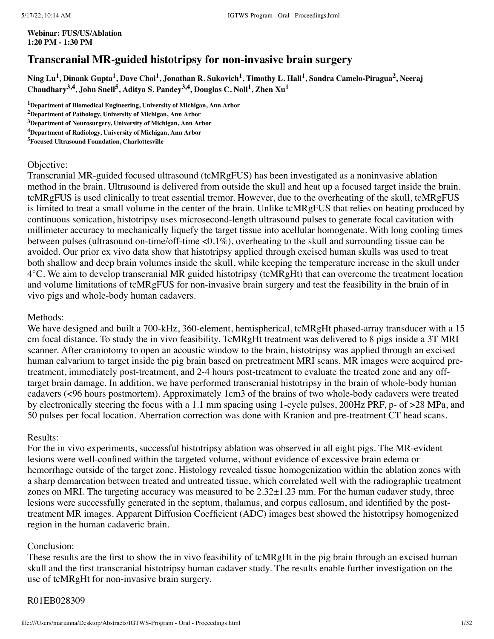**Webinar: FUS/US/Ablation 1:20 PM - 1:30 PM**

# **Transcranial MR-guided histotripsy for non-invasive brain surgery**

Ning Lu<sup>1</sup>, Dinank Gupta<sup>1</sup>, Dave Choi<sup>1</sup>, Jonathan R. Sukovich<sup>1</sup>, Timothy L. Hall<sup>1</sup>, Sandra Camelo-Piragua<sup>2</sup>, Neeraj **Chaudhary 3,4 , John Snell 5 , Aditya S. Pandey 3,4 , Douglas C. Noll 1 , Zhen Xu 1**

**<sup>1</sup>Department of Biomedical Engineering, University of Michigan, Ann Arbor**

**<sup>2</sup>Department of Pathology, University of Michigan, Ann Arbor**

**<sup>3</sup>Department of Neurosurgery, University of Michigan, Ann Arbor**

**<sup>4</sup>Department of Radiology, University of Michigan, Ann Arbor**

**<sup>5</sup>Focused Ultrasound Foundation, Charlottesville**

#### Objective:

Transcranial MR-guided focused ultrasound (tcMRgFUS) has been investigated as a noninvasive ablation method in the brain. Ultrasound is delivered from outside the skull and heat up a focused target inside the brain. tcMRgFUS is used clinically to treat essential tremor. However, due to the overheating of the skull, tcMRgFUS is limited to treat a small volume in the center of the brain. Unlike tcMRgFUS that relies on heating produced by continuous sonication, histotripsy uses microsecond-length ultrasound pulses to generate focal cavitation with millimeter accuracy to mechanically liquefy the target tissue into acellular homogenate. With long cooling times between pulses (ultrasound on-time/off-time <0.1%), overheating to the skull and surrounding tissue can be avoided. Our prior ex vivo data show that histotripsy applied through excised human skulls was used to treat both shallow and deep brain volumes inside the skull, while keeping the temperature increase in the skull under 4°C. We aim to develop transcranial MR guided histotripsy (tcMRgHt) that can overcome the treatment location and volume limitations of tcMRgFUS for non-invasive brain surgery and test the feasibility in the brain of in vivo pigs and whole-body human cadavers.

#### Methods:

We have designed and built a 700-kHz, 360-element, hemispherical, tcMRgHt phased-array transducer with a 15 cm focal distance. To study the in vivo feasibility, TcMRgHt treatment was delivered to 8 pigs inside a 3T MRI scanner. After craniotomy to open an acoustic window to the brain, histotripsy was applied through an excised human calvarium to target inside the pig brain based on pretreatment MRI scans. MR images were acquired pretreatment, immediately post-treatment, and 2-4 hours post-treatment to evaluate the treated zone and any offtarget brain damage. In addition, we have performed transcranial histotripsy in the brain of whole-body human cadavers (<96 hours postmortem). Approximately 1cm3 of the brains of two whole-body cadavers were treated by electronically steering the focus with a 1.1 mm spacing using 1-cycle pulses, 200Hz PRF, p- of >28 MPa, and 50 pulses per focal location. Aberration correction was done with Kranion and pre-treatment CT head scans.

#### Results:

For the in vivo experiments, successful histotripsy ablation was observed in all eight pigs. The MR-evident lesions were well-confined within the targeted volume, without evidence of excessive brain edema or hemorrhage outside of the target zone. Histology revealed tissue homogenization within the ablation zones with a sharp demarcation between treated and untreated tissue, which correlated well with the radiographic treatment zones on MRI. The targeting accuracy was measured to be  $2.32\pm1.23$  mm. For the human cadaver study, three lesions were successfully generated in the septum, thalamus, and corpus callosum, and identified by the posttreatment MR images. Apparent Diffusion Coefficient (ADC) images best showed the histotripsy homogenized region in the human cadaveric brain.

#### Conclusion:

These results are the first to show the in vivo feasibility of tcMRgHt in the pig brain through an excised human skull and the first transcranial histotripsy human cadaver study. The results enable further investigation on the use of tcMRgHt for non-invasive brain surgery.

#### R01EB028309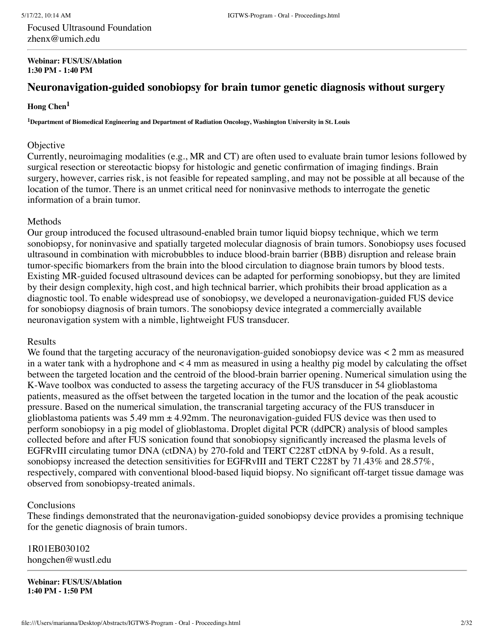Focused Ultrasound Foundation zhenx@umich.edu

#### **Webinar: FUS/US/Ablation 1:30 PM - 1:40 PM**

# **Neuronavigation-guided sonobiopsy for brain tumor genetic diagnosis without surgery**

## **Hong Chen 1**

**<sup>1</sup>Department of Biomedical Engineering and Department of Radiation Oncology, Washington University in St. Louis**

#### **Objective**

Currently, neuroimaging modalities (e.g., MR and CT) are often used to evaluate brain tumor lesions followed by surgical resection or stereotactic biopsy for histologic and genetic confirmation of imaging findings. Brain surgery, however, carries risk, is not feasible for repeated sampling, and may not be possible at all because of the location of the tumor. There is an unmet critical need for noninvasive methods to interrogate the genetic information of a brain tumor.

### Methods

Our group introduced the focused ultrasound-enabled brain tumor liquid biopsy technique, which we term sonobiopsy, for noninvasive and spatially targeted molecular diagnosis of brain tumors. Sonobiopsy uses focused ultrasound in combination with microbubbles to induce blood-brain barrier (BBB) disruption and release brain tumor-specific biomarkers from the brain into the blood circulation to diagnose brain tumors by blood tests. Existing MR-guided focused ultrasound devices can be adapted for performing sonobiopsy, but they are limited by their design complexity, high cost, and high technical barrier, which prohibits their broad application as a diagnostic tool. To enable widespread use of sonobiopsy, we developed a neuronavigation-guided FUS device for sonobiopsy diagnosis of brain tumors. The sonobiopsy device integrated a commercially available neuronavigation system with a nimble, lightweight FUS transducer.

## Results

We found that the targeting accuracy of the neuronavigation-guided sonobiopsy device was  $\lt 2$  mm as measured in a water tank with a hydrophone and < 4 mm as measured in using a healthy pig model by calculating the offset between the targeted location and the centroid of the blood-brain barrier opening. Numerical simulation using the K-Wave toolbox was conducted to assess the targeting accuracy of the FUS transducer in 54 glioblastoma patients, measured as the offset between the targeted location in the tumor and the location of the peak acoustic pressure. Based on the numerical simulation, the transcranial targeting accuracy of the FUS transducer in glioblastoma patients was  $5.49$  mm  $\pm 4.92$ mm. The neuronavigation-guided FUS device was then used to perform sonobiopsy in a pig model of glioblastoma. Droplet digital PCR (ddPCR) analysis of blood samples collected before and after FUS sonication found that sonobiopsy significantly increased the plasma levels of EGFRvIII circulating tumor DNA (ctDNA) by 270-fold and TERT C228T ctDNA by 9-fold. As a result, sonobiopsy increased the detection sensitivities for EGFRvIII and TERT C228T by 71.43% and 28.57%, respectively, compared with conventional blood-based liquid biopsy. No significant off-target tissue damage was observed from sonobiopsy-treated animals.

## Conclusions

These findings demonstrated that the neuronavigation-guided sonobiopsy device provides a promising technique for the genetic diagnosis of brain tumors.

1R01EB030102 hongchen@wustl.edu

**Webinar: FUS/US/Ablation 1:40 PM - 1:50 PM**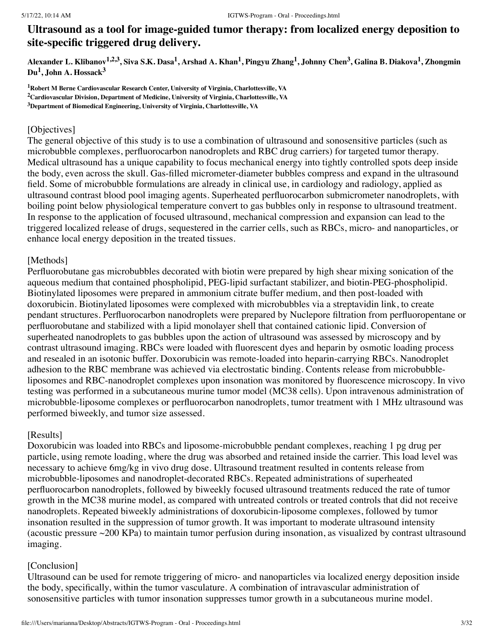# **Ultrasound as a tool for image-guided tumor therapy: from localized energy deposition to site-specific triggered drug delivery.**

Alexander L. Klibanov<sup>1,2,3</sup>, Siva S.K. Dasa<sup>1</sup>, Arshad A. Khan<sup>1</sup>, Pingyu Zhang<sup>1</sup>, Johnny Chen<sup>3</sup>, Galina B. Diakova<sup>1</sup>, Zhongmin **Du 1 , John A. Hossack 3**

**<sup>1</sup>Robert M Berne Cardiovascular Research Center, University of Virginia, Charlottesville, VA <sup>2</sup>Cardiovascular Division, Department of Medicine, University of Virginia, Charlottesville, VA <sup>3</sup>Department of Biomedical Engineering, University of Virginia, Charlottesville, VA**

## [Objectives]

The general objective of this study is to use a combination of ultrasound and sonosensitive particles (such as microbubble complexes, perfluorocarbon nanodroplets and RBC drug carriers) for targeted tumor therapy. Medical ultrasound has a unique capability to focus mechanical energy into tightly controlled spots deep inside the body, even across the skull. Gas-filled micrometer-diameter bubbles compress and expand in the ultrasound field. Some of microbubble formulations are already in clinical use, in cardiology and radiology, applied as ultrasound contrast blood pool imaging agents. Superheated perfluorocarbon submicrometer nanodroplets, with boiling point below physiological temperature convert to gas bubbles only in response to ultrasound treatment. In response to the application of focused ultrasound, mechanical compression and expansion can lead to the triggered localized release of drugs, sequestered in the carrier cells, such as RBCs, micro- and nanoparticles, or enhance local energy deposition in the treated tissues.

## [Methods]

Perfluorobutane gas microbubbles decorated with biotin were prepared by high shear mixing sonication of the aqueous medium that contained phospholipid, PEG-lipid surfactant stabilizer, and biotin-PEG-phospholipid. Biotinylated liposomes were prepared in ammonium citrate buffer medium, and then post-loaded with doxorubicin. Biotinylated liposomes were complexed with microbubbles via a streptavidin link, to create pendant structures. Perfluorocarbon nanodroplets were prepared by Nuclepore filtration from perfluoropentane or perfluorobutane and stabilized with a lipid monolayer shell that contained cationic lipid. Conversion of superheated nanodroplets to gas bubbles upon the action of ultrasound was assessed by microscopy and by contrast ultrasound imaging. RBCs were loaded with fluorescent dyes and heparin by osmotic loading process and resealed in an isotonic buffer. Doxorubicin was remote-loaded into heparin-carrying RBCs. Nanodroplet adhesion to the RBC membrane was achieved via electrostatic binding. Contents release from microbubbleliposomes and RBC-nanodroplet complexes upon insonation was monitored by fluorescence microscopy. In vivo testing was performed in a subcutaneous murine tumor model (MC38 cells). Upon intravenous administration of microbubble-liposome complexes or perfluorocarbon nanodroplets, tumor treatment with 1 MHz ultrasound was performed biweekly, and tumor size assessed.

## [Results]

Doxorubicin was loaded into RBCs and liposome-microbubble pendant complexes, reaching 1 pg drug per particle, using remote loading, where the drug was absorbed and retained inside the carrier. This load level was necessary to achieve 6mg/kg in vivo drug dose. Ultrasound treatment resulted in contents release from microbubble-liposomes and nanodroplet-decorated RBCs. Repeated administrations of superheated perfluorocarbon nanodroplets, followed by biweekly focused ultrasound treatments reduced the rate of tumor growth in the MC38 murine model, as compared with untreated controls or treated controls that did not receive nanodroplets. Repeated biweekly administrations of doxorubicin-liposome complexes, followed by tumor insonation resulted in the suppression of tumor growth. It was important to moderate ultrasound intensity (acoustic pressure ~200 KPa) to maintain tumor perfusion during insonation, as visualized by contrast ultrasound imaging.

## [Conclusion]

Ultrasound can be used for remote triggering of micro- and nanoparticles via localized energy deposition inside the body, specifically, within the tumor vasculature. A combination of intravascular administration of sonosensitive particles with tumor insonation suppresses tumor growth in a subcutaneous murine model.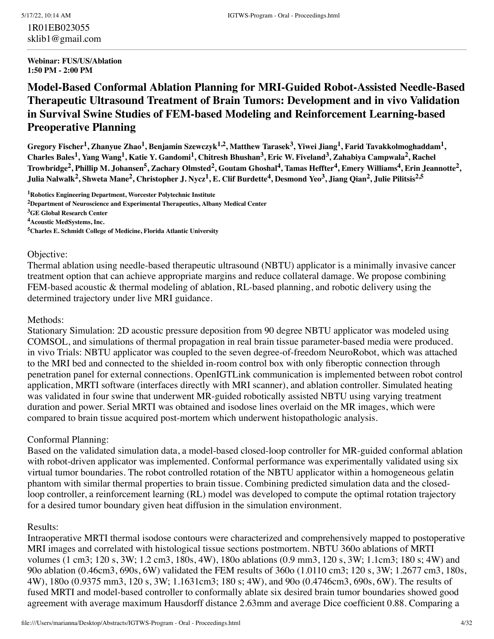1R01EB023055 sklib1@gmail.com

#### **Webinar: FUS/US/Ablation 1:50 PM - 2:00 PM**

# **Model-Based Conformal Ablation Planning for MRI-Guided Robot-Assisted Needle-Based Therapeutic Ultrasound Treatment of Brain Tumors: Development and in vivo Validation in Survival Swine Studies of FEM-based Modeling and Reinforcement Learning-based Preoperative Planning**

Gregory Fischer<sup>1</sup>, Zhanyue Zhao<sup>1</sup>, Benjamin Szewczyk<sup>1,2</sup>, Matthew Tarasek<sup>3</sup>, Yiwei Jiang<sup>1</sup>, Farid Tavakkolmoghaddam<sup>1</sup>, Charles Bales<sup>1</sup>, Yang Wang<sup>1</sup>, Katie Y. Gandomi<sup>1</sup>, Chitresh Bhushan<sup>3</sup>, Eric W. Fiveland<sup>3</sup>, Zahabiya Campwala<sup>2</sup>, Rachel Trowbridge<sup>2</sup>, Phillip M. Johansen<sup>5</sup>, Zachary Olmsted<sup>2</sup>, Goutam Ghoshal<sup>4</sup>, Tamas Heffter<sup>4</sup>, Emery Williams<sup>4</sup>, Erin Jeannotte<sup>2</sup>, Julia Nalwalk<sup>2</sup>, Shweta Mane<sup>2</sup>, Christopher J. Nycz<sup>1</sup>, E. Clif Burdette<sup>4</sup>, Desmond Yeo<sup>3</sup>, Jiang Qian<sup>2</sup>, Julie Pilitsis<sup>2,5</sup>

**<sup>1</sup>Robotics Engineering Department, Worcester Polytechnic Institute**

**<sup>2</sup>Department of Neuroscience and Experimental Therapeutics, Albany Medical Center**

**<sup>3</sup>GE Global Research Center**

**<sup>4</sup>Acoustic MedSystems, Inc.**

**<sup>5</sup>Charles E. Schmidt College of Medicine, Florida Atlantic University**

#### Objective:

Thermal ablation using needle-based therapeutic ultrasound (NBTU) applicator is a minimally invasive cancer treatment option that can achieve appropriate margins and reduce collateral damage. We propose combining FEM-based acoustic & thermal modeling of ablation, RL-based planning, and robotic delivery using the determined trajectory under live MRI guidance.

#### Methods:

Stationary Simulation: 2D acoustic pressure deposition from 90 degree NBTU applicator was modeled using COMSOL, and simulations of thermal propagation in real brain tissue parameter-based media were produced. in vivo Trials: NBTU applicator was coupled to the seven degree-of-freedom NeuroRobot, which was attached to the MRI bed and connected to the shielded in-room control box with only fiberoptic connection through penetration panel for external connections. OpenIGTLink communication is implemented between robot control application, MRTI software (interfaces directly with MRI scanner), and ablation controller. Simulated heating was validated in four swine that underwent MR-guided robotically assisted NBTU using varying treatment duration and power. Serial MRTI was obtained and isodose lines overlaid on the MR images, which were compared to brain tissue acquired post-mortem which underwent histopathologic analysis.

## Conformal Planning:

Based on the validated simulation data, a model-based closed-loop controller for MR-guided conformal ablation with robot-driven applicator was implemented. Conformal performance was experimentally validated using six virtual tumor boundaries. The robot controlled rotation of the NBTU applicator within a homogeneous gelatin phantom with similar thermal properties to brain tissue. Combining predicted simulation data and the closedloop controller, a reinforcement learning (RL) model was developed to compute the optimal rotation trajectory for a desired tumor boundary given heat diffusion in the simulation environment.

## Results:

Intraoperative MRTI thermal isodose contours were characterized and comprehensively mapped to postoperative MRI images and correlated with histological tissue sections postmortem. NBTU 360o ablations of MRTI volumes (1 cm3; 120 s, 3W; 1.2 cm3, 180s, 4W), 180o ablations (0.9 mm3, 120 s, 3W; 1.1cm3; 180 s; 4W) and 90o ablation (0.46cm3, 690s, 6W) validated the FEM results of 360o (1.0110 cm3; 120 s, 3W; 1.2677 cm3, 180s, 4W), 180o (0.9375 mm3, 120 s, 3W; 1.1631cm3; 180 s; 4W), and 90o (0.4746cm3, 690s, 6W). The results of fused MRTI and model-based controller to conformally ablate six desired brain tumor boundaries showed good agreement with average maximum Hausdorff distance 2.63mm and average Dice coefficient 0.88. Comparing a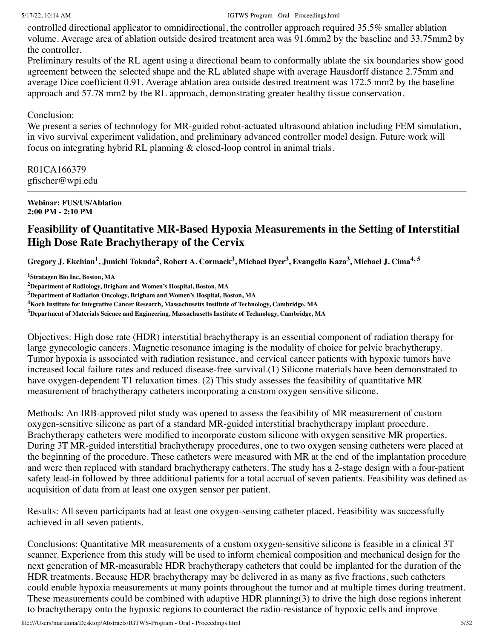controlled directional applicator to omnidirectional, the controller approach required 35.5% smaller ablation volume. Average area of ablation outside desired treatment area was 91.6mm2 by the baseline and 33.75mm2 by the controller.

Preliminary results of the RL agent using a directional beam to conformally ablate the six boundaries show good agreement between the selected shape and the RL ablated shape with average Hausdorff distance 2.75mm and average Dice coefficient 0.91. Average ablation area outside desired treatment was 172.5 mm2 by the baseline approach and 57.78 mm2 by the RL approach, demonstrating greater healthy tissue conservation.

## Conclusion:

We present a series of technology for MR-guided robot-actuated ultrasound ablation including FEM simulation, in vivo survival experiment validation, and preliminary advanced controller model design. Future work will focus on integrating hybrid RL planning & closed-loop control in animal trials.

R01CA166379 gfischer@wpi.edu

#### **Webinar: FUS/US/Ablation 2:00 PM - 2:10 PM**

# **Feasibility of Quantitative MR-Based Hypoxia Measurements in the Setting of Interstitial High Dose Rate Brachytherapy of the Cervix**

Gregory J. Ekchian<sup>1</sup>, Junichi Tokuda<sup>2</sup>, Robert A. Cormack<sup>3</sup>, Michael Dyer<sup>3</sup>, Evangelia Kaza<sup>3</sup>, Michael J. Cima<sup>4, 5</sup>

**<sup>1</sup>Stratagen Bio Inc, Boston, MA**

**<sup>2</sup>Department of Radiology, Brigham and Women's Hospital, Boston, MA**

**<sup>3</sup>Department of Radiation Oncology, Brigham and Women's Hospital, Boston, MA**

**<sup>4</sup>Koch Institute for Integrative Cancer Research, Massachusetts Institute of Technology, Cambridge, MA**

**<sup>5</sup>Department of Materials Science and Engineering, Massachusetts Institute of Technology, Cambridge, MA**

Objectives: High dose rate (HDR) interstitial brachytherapy is an essential component of radiation therapy for large gynecologic cancers. Magnetic resonance imaging is the modality of choice for pelvic brachytherapy. Tumor hypoxia is associated with radiation resistance, and cervical cancer patients with hypoxic tumors have increased local failure rates and reduced disease-free survival.(1) Silicone materials have been demonstrated to have oxygen-dependent T1 relaxation times. (2) This study assesses the feasibility of quantitative MR measurement of brachytherapy catheters incorporating a custom oxygen sensitive silicone.

Methods: An IRB-approved pilot study was opened to assess the feasibility of MR measurement of custom oxygen-sensitive silicone as part of a standard MR-guided interstitial brachytherapy implant procedure. Brachytherapy catheters were modified to incorporate custom silicone with oxygen sensitive MR properties. During 3T MR-guided interstitial brachytherapy procedures, one to two oxygen sensing catheters were placed at the beginning of the procedure. These catheters were measured with MR at the end of the implantation procedure and were then replaced with standard brachytherapy catheters. The study has a 2-stage design with a four-patient safety lead-in followed by three additional patients for a total accrual of seven patients. Feasibility was defined as acquisition of data from at least one oxygen sensor per patient.

Results: All seven participants had at least one oxygen-sensing catheter placed. Feasibility was successfully achieved in all seven patients.

Conclusions: Quantitative MR measurements of a custom oxygen-sensitive silicone is feasible in a clinical 3T scanner. Experience from this study will be used to inform chemical composition and mechanical design for the next generation of MR-measurable HDR brachytherapy catheters that could be implanted for the duration of the HDR treatments. Because HDR brachytherapy may be delivered in as many as five fractions, such catheters could enable hypoxia measurements at many points throughout the tumor and at multiple times during treatment. These measurements could be combined with adaptive HDR planning(3) to drive the high dose regions inherent to brachytherapy onto the hypoxic regions to counteract the radio-resistance of hypoxic cells and improve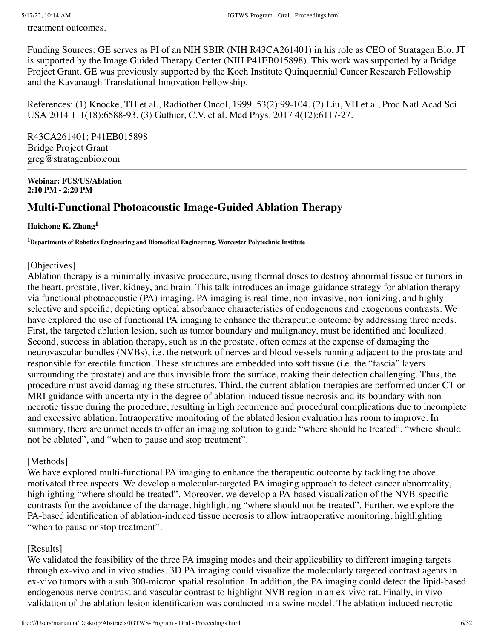treatment outcomes.

Funding Sources: GE serves as PI of an NIH SBIR (NIH R43CA261401) in his role as CEO of Stratagen Bio. JT is supported by the Image Guided Therapy Center (NIH P41EB015898). This work was supported by a Bridge Project Grant. GE was previously supported by the Koch Institute Quinquennial Cancer Research Fellowship and the Kavanaugh Translational Innovation Fellowship.

References: (1) Knocke, TH et al., Radiother Oncol, 1999. 53(2):99-104. (2) Liu, VH et al, Proc Natl Acad Sci USA 2014 111(18):6588-93. (3) Guthier, C.V. et al. Med Phys. 2017 4(12):6117-27.

R43CA261401; P41EB015898 Bridge Project Grant greg@stratagenbio.com

**Webinar: FUS/US/Ablation 2:10 PM - 2:20 PM**

# **Multi-Functional Photoacoustic Image-Guided Ablation Therapy**

## **Haichong K. Zhang 1**

**<sup>1</sup>Departments of Robotics Engineering and Biomedical Engineering, Worcester Polytechnic Institute**

## [Objectives]

Ablation therapy is a minimally invasive procedure, using thermal doses to destroy abnormal tissue or tumors in the heart, prostate, liver, kidney, and brain. This talk introduces an image-guidance strategy for ablation therapy via functional photoacoustic (PA) imaging. PA imaging is real-time, non-invasive, non-ionizing, and highly selective and specific, depicting optical absorbance characteristics of endogenous and exogenous contrasts. We have explored the use of functional PA imaging to enhance the therapeutic outcome by addressing three needs. First, the targeted ablation lesion, such as tumor boundary and malignancy, must be identified and localized. Second, success in ablation therapy, such as in the prostate, often comes at the expense of damaging the neurovascular bundles (NVBs), i.e. the network of nerves and blood vessels running adjacent to the prostate and responsible for erectile function. These structures are embedded into soft tissue (i.e. the "fascia" layers surrounding the prostate) and are thus invisible from the surface, making their detection challenging. Thus, the procedure must avoid damaging these structures. Third, the current ablation therapies are performed under CT or MRI guidance with uncertainty in the degree of ablation-induced tissue necrosis and its boundary with nonnecrotic tissue during the procedure, resulting in high recurrence and procedural complications due to incomplete and excessive ablation. Intraoperative monitoring of the ablated lesion evaluation has room to improve. In summary, there are unmet needs to offer an imaging solution to guide "where should be treated", "where should not be ablated", and "when to pause and stop treatment".

## [Methods]

We have explored multi-functional PA imaging to enhance the therapeutic outcome by tackling the above motivated three aspects. We develop a molecular-targeted PA imaging approach to detect cancer abnormality, highlighting "where should be treated". Moreover, we develop a PA-based visualization of the NVB-specific contrasts for the avoidance of the damage, highlighting "where should not be treated". Further, we explore the PA-based identification of ablation-induced tissue necrosis to allow intraoperative monitoring, highlighting "when to pause or stop treatment".

## [Results]

We validated the feasibility of the three PA imaging modes and their applicability to different imaging targets through ex-vivo and in vivo studies. 3D PA imaging could visualize the molecularly targeted contrast agents in ex-vivo tumors with a sub 300-micron spatial resolution. In addition, the PA imaging could detect the lipid-based endogenous nerve contrast and vascular contrast to highlight NVB region in an ex-vivo rat. Finally, in vivo validation of the ablation lesion identification was conducted in a swine model. The ablation-induced necrotic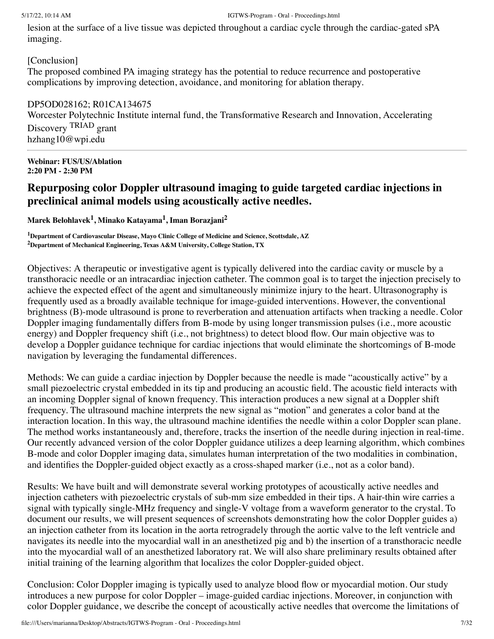lesion at the surface of a live tissue was depicted throughout a cardiac cycle through the cardiac-gated sPA imaging.

[Conclusion]

The proposed combined PA imaging strategy has the potential to reduce recurrence and postoperative complications by improving detection, avoidance, and monitoring for ablation therapy.

DP5OD028162; R01CA134675 Worcester Polytechnic Institute internal fund, the Transformative Research and Innovation, Accelerating Discovery TRIAD grant hzhang10@wpi.edu

**Webinar: FUS/US/Ablation 2:20 PM - 2:30 PM**

# **Repurposing color Doppler ultrasound imaging to guide targeted cardiac injections in preclinical animal models using acoustically active needles.**

**Marek Belohlavek 1 , Minako Katayama 1 , Iman Borazjani 2**

**<sup>1</sup>Department of Cardiovascular Disease, Mayo Clinic College of Medicine and Science, Scottsdale, AZ <sup>2</sup>Department of Mechanical Engineering, Texas A&M University, College Station, TX**

Objectives: A therapeutic or investigative agent is typically delivered into the cardiac cavity or muscle by a transthoracic needle or an intracardiac injection catheter. The common goal is to target the injection precisely to achieve the expected effect of the agent and simultaneously minimize injury to the heart. Ultrasonography is frequently used as a broadly available technique for image-guided interventions. However, the conventional brightness (B)-mode ultrasound is prone to reverberation and attenuation artifacts when tracking a needle. Color Doppler imaging fundamentally differs from B-mode by using longer transmission pulses (i.e., more acoustic energy) and Doppler frequency shift (i.e., not brightness) to detect blood flow. Our main objective was to develop a Doppler guidance technique for cardiac injections that would eliminate the shortcomings of B-mode navigation by leveraging the fundamental differences.

Methods: We can guide a cardiac injection by Doppler because the needle is made "acoustically active" by a small piezoelectric crystal embedded in its tip and producing an acoustic field. The acoustic field interacts with an incoming Doppler signal of known frequency. This interaction produces a new signal at a Doppler shift frequency. The ultrasound machine interprets the new signal as "motion" and generates a color band at the interaction location. In this way, the ultrasound machine identifies the needle within a color Doppler scan plane. The method works instantaneously and, therefore, tracks the insertion of the needle during injection in real-time. Our recently advanced version of the color Doppler guidance utilizes a deep learning algorithm, which combines B-mode and color Doppler imaging data, simulates human interpretation of the two modalities in combination, and identifies the Doppler-guided object exactly as a cross-shaped marker (i.e., not as a color band).

Results: We have built and will demonstrate several working prototypes of acoustically active needles and injection catheters with piezoelectric crystals of sub-mm size embedded in their tips. A hair-thin wire carries a signal with typically single-MHz frequency and single-V voltage from a waveform generator to the crystal. To document our results, we will present sequences of screenshots demonstrating how the color Doppler guides a) an injection catheter from its location in the aorta retrogradely through the aortic valve to the left ventricle and navigates its needle into the myocardial wall in an anesthetized pig and b) the insertion of a transthoracic needle into the myocardial wall of an anesthetized laboratory rat. We will also share preliminary results obtained after initial training of the learning algorithm that localizes the color Doppler-guided object.

Conclusion: Color Doppler imaging is typically used to analyze blood flow or myocardial motion. Our study introduces a new purpose for color Doppler – image-guided cardiac injections. Moreover, in conjunction with color Doppler guidance, we describe the concept of acoustically active needles that overcome the limitations of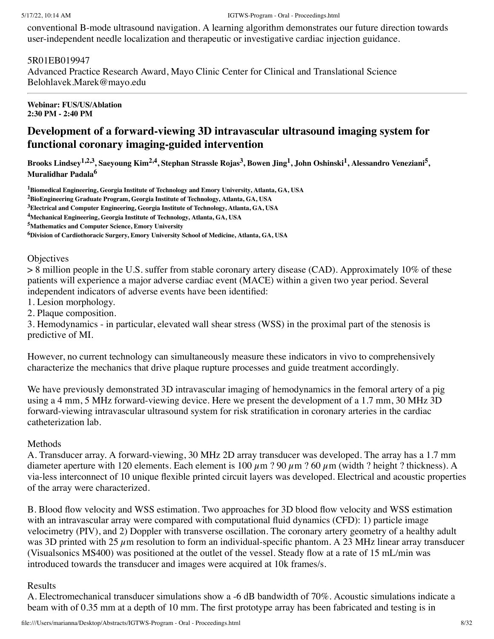conventional B-mode ultrasound navigation. A learning algorithm demonstrates our future direction towards user-independent needle localization and therapeutic or investigative cardiac injection guidance.

## 5R01EB019947

Advanced Practice Research Award, Mayo Clinic Center for Clinical and Translational Science Belohlavek.Marek@mayo.edu

#### **Webinar: FUS/US/Ablation 2:30 PM - 2:40 PM**

# **Development of a forward-viewing 3D intravascular ultrasound imaging system for functional coronary imaging-guided intervention**

Brooks Lindsey<sup>1,2,3</sup>, Saeyoung Kim<sup>2,4</sup>, Stephan Strassle Rojas<sup>3</sup>, Bowen Jing<sup>1</sup>, John Oshinski<sup>1</sup>, Alessandro Veneziani<sup>5</sup>, **Muralidhar Padala 6**

**<sup>1</sup>Biomedical Engineering, Georgia Institute of Technology and Emory University, Atlanta, GA, USA**

**<sup>2</sup>BioEngineering Graduate Program, Georgia Institute of Technology, Atlanta, GA, USA**

**<sup>3</sup>Electrical and Computer Engineering, Georgia Institute of Technology, Atlanta, GA, USA**

**<sup>4</sup>Mechanical Engineering, Georgia Institute of Technology, Atlanta, GA, USA**

**<sup>5</sup>Mathematics and Computer Science, Emory University**

**<sup>6</sup>Division of Cardiothoracic Surgery, Emory University School of Medicine, Atlanta, GA, USA**

#### **Objectives**

 $> 8$  million people in the U.S. suffer from stable coronary artery disease (CAD). Approximately 10% of these patients will experience a major adverse cardiac event (MACE) within a given two year period. Several independent indicators of adverse events have been identified:

1. Lesion morphology.

2. Plaque composition.

3. Hemodynamics - in particular, elevated wall shear stress (WSS) in the proximal part of the stenosis is predictive of MI.

However, no current technology can simultaneously measure these indicators in vivo to comprehensively characterize the mechanics that drive plaque rupture processes and guide treatment accordingly.

We have previously demonstrated 3D intravascular imaging of hemodynamics in the femoral artery of a pig using a 4 mm, 5 MHz forward-viewing device. Here we present the development of a 1.7 mm, 30 MHz 3D forward-viewing intravascular ultrasound system for risk stratification in coronary arteries in the cardiac catheterization lab.

## Methods

A. Transducer array. A forward-viewing, 30 MHz 2D array transducer was developed. The array has a 1.7 mm diameter aperture with 120 elements. Each element is 100  $\mu$ m ? 90  $\mu$ m ? 60  $\mu$ m (width ? height ? thickness). A via-less interconnect of 10 unique flexible printed circuit layers was developed. Electrical and acoustic properties of the array were characterized.

B. Blood flow velocity and WSS estimation. Two approaches for 3D blood flow velocity and WSS estimation with an intravascular array were compared with computational fluid dynamics (CFD): 1) particle image velocimetry (PIV), and 2) Doppler with transverse oscillation. The coronary artery geometry of a healthy adult was 3D printed with 25  $\mu$ m resolution to form an individual-specific phantom. A 23 MHz linear array transducer (Visualsonics MS400) was positioned at the outlet of the vessel. Steady flow at a rate of 15 mL/min was introduced towards the transducer and images were acquired at 10k frames/s.

## Results

A. Electromechanical transducer simulations show a -6 dB bandwidth of 70%. Acoustic simulations indicate a beam with of 0.35 mm at a depth of 10 mm. The first prototype array has been fabricated and testing is in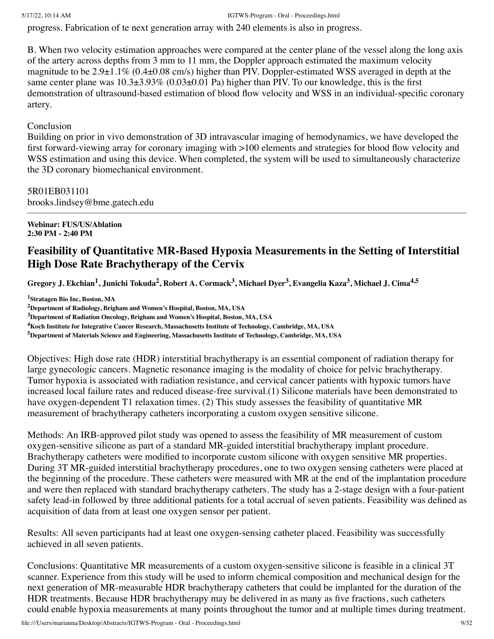progress. Fabrication of te next generation array with 240 elements is also in progress.

B. When two velocity estimation approaches were compared at the center plane of the vessel along the long axis of the artery across depths from 3 mm to 11 mm, the Doppler approach estimated the maximum velocity magnitude to be  $2.9\pm1.1\%$  (0.4 $\pm$ 0.08 cm/s) higher than PIV. Doppler-estimated WSS averaged in depth at the same center plane was  $10.3\pm3.93\%$  (0.03 $\pm0.01$  Pa) higher than PIV. To our knowledge, this is the first demonstration of ultrasound-based estimation of blood flow velocity and WSS in an individual-specific coronary artery.

# Conclusion

Building on prior in vivo demonstration of 3D intravascular imaging of hemodynamics, we have developed the first forward-viewing array for coronary imaging with >100 elements and strategies for blood flow velocity and WSS estimation and using this device. When completed, the system will be used to simultaneously characterize the 3D coronary biomechanical environment.

# 5R01EB031101

brooks.lindsey@bme.gatech.edu

**Webinar: FUS/US/Ablation 2:30 PM - 2:40 PM**

# **Feasibility of Quantitative MR-Based Hypoxia Measurements in the Setting of Interstitial High Dose Rate Brachytherapy of the Cervix**

Gregory J. Ekchian<sup>1</sup>, Junichi Tokuda<sup>2</sup>, Robert A. Cormack<sup>3</sup>, Michael Dyer<sup>3</sup>, Evangelia Kaza<sup>3</sup>, Michael J. Cima<sup>4,5</sup>

**<sup>1</sup>Stratagen Bio Inc, Boston, MA**

**<sup>2</sup>Department of Radiology, Brigham and Women's Hospital, Boston, MA, USA**

**<sup>3</sup>Department of Radiation Oncology, Brigham and Women's Hospital, Boston, MA, USA**

**<sup>4</sup>Koch Institute for Integrative Cancer Research, Massachusetts Institute of Technology, Cambridge, MA, USA**

**<sup>5</sup>Department of Materials Science and Engineering, Massachusetts Institute of Technology, Cambridge, MA, USA**

Objectives: High dose rate (HDR) interstitial brachytherapy is an essential component of radiation therapy for large gynecologic cancers. Magnetic resonance imaging is the modality of choice for pelvic brachytherapy. Tumor hypoxia is associated with radiation resistance, and cervical cancer patients with hypoxic tumors have increased local failure rates and reduced disease-free survival.(1) Silicone materials have been demonstrated to have oxygen-dependent T1 relaxation times. (2) This study assesses the feasibility of quantitative MR measurement of brachytherapy catheters incorporating a custom oxygen sensitive silicone.

Methods: An IRB-approved pilot study was opened to assess the feasibility of MR measurement of custom oxygen-sensitive silicone as part of a standard MR-guided interstitial brachytherapy implant procedure. Brachytherapy catheters were modified to incorporate custom silicone with oxygen sensitive MR properties. During 3T MR-guided interstitial brachytherapy procedures, one to two oxygen sensing catheters were placed at the beginning of the procedure. These catheters were measured with MR at the end of the implantation procedure and were then replaced with standard brachytherapy catheters. The study has a 2-stage design with a four-patient safety lead-in followed by three additional patients for a total accrual of seven patients. Feasibility was defined as acquisition of data from at least one oxygen sensor per patient.

Results: All seven participants had at least one oxygen-sensing catheter placed. Feasibility was successfully achieved in all seven patients.

Conclusions: Quantitative MR measurements of a custom oxygen-sensitive silicone is feasible in a clinical 3T scanner. Experience from this study will be used to inform chemical composition and mechanical design for the next generation of MR-measurable HDR brachytherapy catheters that could be implanted for the duration of the HDR treatments. Because HDR brachytherapy may be delivered in as many as five fractions, such catheters could enable hypoxia measurements at many points throughout the tumor and at multiple times during treatment.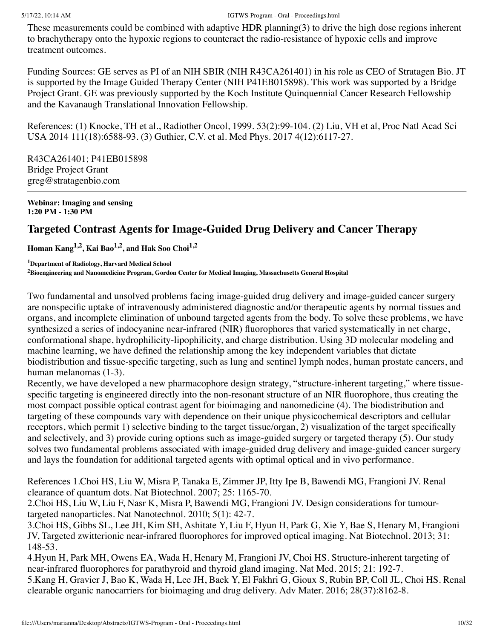These measurements could be combined with adaptive HDR planning(3) to drive the high dose regions inherent to brachytherapy onto the hypoxic regions to counteract the radio-resistance of hypoxic cells and improve treatment outcomes.

Funding Sources: GE serves as PI of an NIH SBIR (NIH R43CA261401) in his role as CEO of Stratagen Bio. JT is supported by the Image Guided Therapy Center (NIH P41EB015898). This work was supported by a Bridge Project Grant. GE was previously supported by the Koch Institute Quinquennial Cancer Research Fellowship and the Kavanaugh Translational Innovation Fellowship.

References: (1) Knocke, TH et al., Radiother Oncol, 1999. 53(2):99-104. (2) Liu, VH et al, Proc Natl Acad Sci USA 2014 111(18):6588-93. (3) Guthier, C.V. et al. Med Phys. 2017 4(12):6117-27.

R43CA261401; P41EB015898 Bridge Project Grant greg@stratagenbio.com

**Webinar: Imaging and sensing 1:20 PM - 1:30 PM**

# **Targeted Contrast Agents for Image-Guided Drug Delivery and Cancer Therapy**

**Homan Kang 1,2 , Kai Bao 1,2 , and Hak Soo Choi 1,2**

**<sup>1</sup>Department of Radiology, Harvard Medical School <sup>2</sup>Bioengineering and Nanomedicine Program, Gordon Center for Medical Imaging, Massachusetts General Hospital**

Two fundamental and unsolved problems facing image-guided drug delivery and image-guided cancer surgery are nonspecific uptake of intravenously administered diagnostic and/or therapeutic agents by normal tissues and organs, and incomplete elimination of unbound targeted agents from the body. To solve these problems, we have synthesized a series of indocyanine near-infrared (NIR) fluorophores that varied systematically in net charge, conformational shape, hydrophilicity-lipophilicity, and charge distribution. Using 3D molecular modeling and machine learning, we have defined the relationship among the key independent variables that dictate biodistribution and tissue-specific targeting, such as lung and sentinel lymph nodes, human prostate cancers, and human melanomas (1-3).

Recently, we have developed a new pharmacophore design strategy, "structure-inherent targeting," where tissuespecific targeting is engineered directly into the non-resonant structure of an NIR fluorophore, thus creating the most compact possible optical contrast agent for bioimaging and nanomedicine (4). The biodistribution and targeting of these compounds vary with dependence on their unique physicochemical descriptors and cellular receptors, which permit 1) selective binding to the target tissue/organ, 2) visualization of the target specifically and selectively, and 3) provide curing options such as image-guided surgery or targeted therapy (5). Our study solves two fundamental problems associated with image-guided drug delivery and image-guided cancer surgery and lays the foundation for additional targeted agents with optimal optical and in vivo performance.

References 1.Choi HS, Liu W, Misra P, Tanaka E, Zimmer JP, Itty Ipe B, Bawendi MG, Frangioni JV. Renal clearance of quantum dots. Nat Biotechnol. 2007; 25: 1165-70.

2.Choi HS, Liu W, Liu F, Nasr K, Misra P, Bawendi MG, Frangioni JV. Design considerations for tumourtargeted nanoparticles. Nat Nanotechnol. 2010; 5(1): 42-7.

3.Choi HS, Gibbs SL, Lee JH, Kim SH, Ashitate Y, Liu F, Hyun H, Park G, Xie Y, Bae S, Henary M, Frangioni JV, Targeted zwitterionic near-infrared fluorophores for improved optical imaging. Nat Biotechnol. 2013; 31: 148-53.

4.Hyun H, Park MH, Owens EA, Wada H, Henary M, Frangioni JV, Choi HS. Structure-inherent targeting of near-infrared fluorophores for parathyroid and thyroid gland imaging. Nat Med. 2015; 21: 192-7. 5.Kang H, Gravier J, Bao K, Wada H, Lee JH, Baek Y, El Fakhri G, Gioux S, Rubin BP, Coll JL, Choi HS. Renal clearable organic nanocarriers for bioimaging and drug delivery. Adv Mater. 2016; 28(37):8162-8.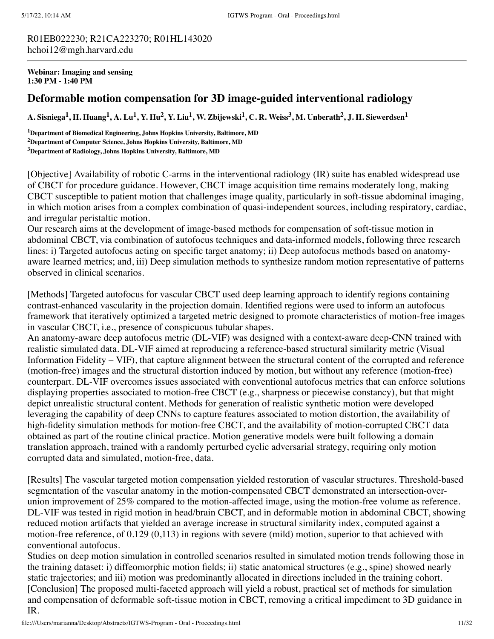R01EB022230; R21CA223270; R01HL143020 hchoi12@mgh.harvard.edu

**Webinar: Imaging and sensing 1:30 PM - 1:40 PM**

## **Deformable motion compensation for 3D image-guided interventional radiology**

A. Sisniega<sup>1</sup>, H. Huang<sup>1</sup>, A. Lu<sup>1</sup>, Y. Hu<sup>2</sup>, Y. Liu<sup>1</sup>, W. Zbijewski<sup>1</sup>, C. R. Weiss<sup>3</sup>, M. Unberath<sup>2</sup>, J. H. Siewerdsen<sup>1</sup>

**<sup>1</sup>Department of Biomedical Engineering, Johns Hopkins University, Baltimore, MD <sup>2</sup>Department of Computer Science, Johns Hopkins University, Baltimore, MD <sup>3</sup>Department of Radiology, Johns Hopkins University, Baltimore, MD**

[Objective] Availability of robotic C-arms in the interventional radiology (IR) suite has enabled widespread use of CBCT for procedure guidance. However, CBCT image acquisition time remains moderately long, making CBCT susceptible to patient motion that challenges image quality, particularly in soft-tissue abdominal imaging, in which motion arises from a complex combination of quasi-independent sources, including respiratory, cardiac, and irregular peristaltic motion.

Our research aims at the development of image-based methods for compensation of soft-tissue motion in abdominal CBCT, via combination of autofocus techniques and data-informed models, following three research lines: i) Targeted autofocus acting on specific target anatomy; ii) Deep autofocus methods based on anatomyaware learned metrics; and, iii) Deep simulation methods to synthesize random motion representative of patterns observed in clinical scenarios.

[Methods] Targeted autofocus for vascular CBCT used deep learning approach to identify regions containing contrast-enhanced vascularity in the projection domain. Identified regions were used to inform an autofocus framework that iteratively optimized a targeted metric designed to promote characteristics of motion-free images in vascular CBCT, i.e., presence of conspicuous tubular shapes.

An anatomy-aware deep autofocus metric (DL-VIF) was designed with a context-aware deep-CNN trained with realistic simulated data. DL-VIF aimed at reproducing a reference-based structural similarity metric (Visual Information Fidelity – VIF), that capture alignment between the structural content of the corrupted and reference (motion-free) images and the structural distortion induced by motion, but without any reference (motion-free) counterpart. DL-VIF overcomes issues associated with conventional autofocus metrics that can enforce solutions displaying properties associated to motion-free CBCT (e.g., sharpness or piecewise constancy), but that might depict unrealistic structural content. Methods for generation of realistic synthetic motion were developed leveraging the capability of deep CNNs to capture features associated to motion distortion, the availability of high-fidelity simulation methods for motion-free CBCT, and the availability of motion-corrupted CBCT data obtained as part of the routine clinical practice. Motion generative models were built following a domain translation approach, trained with a randomly perturbed cyclic adversarial strategy, requiring only motion corrupted data and simulated, motion-free, data.

[Results] The vascular targeted motion compensation yielded restoration of vascular structures. Threshold-based segmentation of the vascular anatomy in the motion-compensated CBCT demonstrated an intersection-overunion improvement of 25% compared to the motion-affected image, using the motion-free volume as reference. DL-VIF was tested in rigid motion in head/brain CBCT, and in deformable motion in abdominal CBCT, showing reduced motion artifacts that yielded an average increase in structural similarity index, computed against a motion-free reference, of 0.129 (0,113) in regions with severe (mild) motion, superior to that achieved with conventional autofocus.

Studies on deep motion simulation in controlled scenarios resulted in simulated motion trends following those in the training dataset: i) diffeomorphic motion fields; ii) static anatomical structures (e.g., spine) showed nearly static trajectories; and iii) motion was predominantly allocated in directions included in the training cohort. [Conclusion] The proposed multi-faceted approach will yield a robust, practical set of methods for simulation and compensation of deformable soft-tissue motion in CBCT, removing a critical impediment to 3D guidance in IR.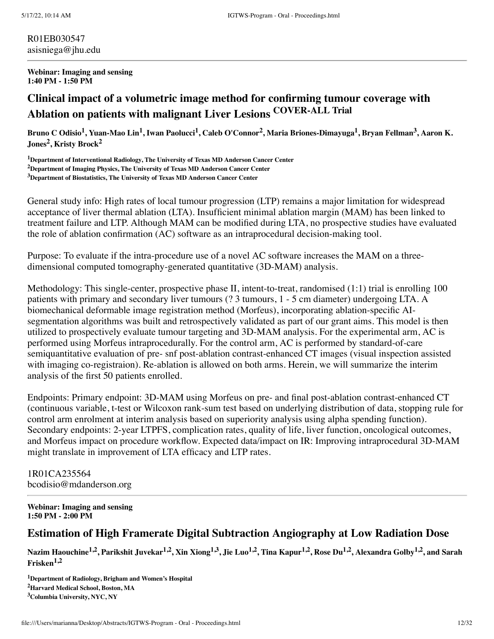R01EB030547 asisniega@jhu.edu

#### **Webinar: Imaging and sensing 1:40 PM - 1:50 PM**

# **Clinical impact of a volumetric image method for confirming tumour coverage with Ablation on patients with malignant Liver Lesions COVER-ALL Trial**

Bruno C Odisio<sup>1</sup>, Yuan-Mao Lin<sup>1</sup>, Iwan Paolucci<sup>1</sup>, Caleb O'Connor<sup>2</sup>, Maria Briones-Dimayuga<sup>1</sup>, Bryan Fellman<sup>3</sup>, Aaron K. **Jones 2 , Kristy Brock 2**

**<sup>1</sup>Department of Interventional Radiology, The University of Texas MD Anderson Cancer Center <sup>2</sup>Department of Imaging Physics, The University of Texas MD Anderson Cancer Center <sup>3</sup>Department of Biostatistics, The University of Texas MD Anderson Cancer Center**

General study info: High rates of local tumour progression (LTP) remains a major limitation for widespread acceptance of liver thermal ablation (LTA). Insufficient minimal ablation margin (MAM) has been linked to treatment failure and LTP. Although MAM can be modified during LTA, no prospective studies have evaluated the role of ablation confirmation (AC) software as an intraprocedural decision-making tool.

Purpose: To evaluate if the intra-procedure use of a novel AC software increases the MAM on a threedimensional computed tomography-generated quantitative (3D-MAM) analysis.

Methodology: This single-center, prospective phase II, intent-to-treat, randomised (1:1) trial is enrolling 100 patients with primary and secondary liver tumours (? 3 tumours, 1 - 5 cm diameter) undergoing LTA. A biomechanical deformable image registration method (Morfeus), incorporating ablation-specific AIsegmentation algorithms was built and retrospectively validated as part of our grant aims. This model is then utilized to prospectively evaluate tumour targeting and 3D-MAM analysis. For the experimental arm, AC is performed using Morfeus intraprocedurally. For the control arm, AC is performed by standard-of-care semiquantitative evaluation of pre- snf post-ablation contrast-enhanced CT images (visual inspection assisted with imaging co-registraion). Re-ablation is allowed on both arms. Herein, we will summarize the interim analysis of the first 50 patients enrolled.

Endpoints: Primary endpoint: 3D-MAM using Morfeus on pre- and final post-ablation contrast-enhanced CT (continuous variable, t-test or Wilcoxon rank-sum test based on underlying distribution of data, stopping rule for control arm enrolment at interim analysis based on superiority analysis using alpha spending function). Secondary endpoints: 2-year LTPFS, complication rates, quality of life, liver function, oncological outcomes, and Morfeus impact on procedure workflow. Expected data/impact on IR: Improving intraprocedural 3D-MAM might translate in improvement of LTA efficacy and LTP rates.

1R01CA235564 bcodisio@mdanderson.org

**Webinar: Imaging and sensing 1:50 PM - 2:00 PM**

# **Estimation of High Framerate Digital Subtraction Angiography at Low Radiation Dose**

Nazim Haouchine<sup>1,2</sup>, Parikshit Juvekar<sup>1,2</sup>, Xin Xiong<sup>1,3</sup>, Jie Luo<sup>1,2</sup>, Tina Kapur<sup>1,2</sup>, Rose Du<sup>1,2</sup>, Alexandra Golby<sup>1,2</sup>, and Sarah **Frisken 1,2**

**<sup>1</sup>Department of Radiology, Brigham and Women's Hospital <sup>2</sup>Harvard Medical School, Boston, MA <sup>3</sup>Columbia University, NYC, NY**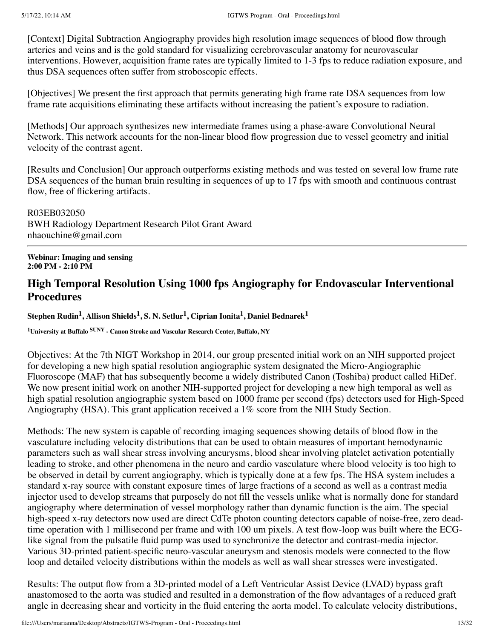[Context] Digital Subtraction Angiography provides high resolution image sequences of blood flow through arteries and veins and is the gold standard for visualizing cerebrovascular anatomy for neurovascular interventions. However, acquisition frame rates are typically limited to 1-3 fps to reduce radiation exposure, and thus DSA sequences often suffer from stroboscopic effects.

[Objectives] We present the first approach that permits generating high frame rate DSA sequences from low frame rate acquisitions eliminating these artifacts without increasing the patient's exposure to radiation.

[Methods] Our approach synthesizes new intermediate frames using a phase-aware Convolutional Neural Network. This network accounts for the non-linear blood flow progression due to vessel geometry and initial velocity of the contrast agent.

[Results and Conclusion] Our approach outperforms existing methods and was tested on several low frame rate DSA sequences of the human brain resulting in sequences of up to 17 fps with smooth and continuous contrast flow, free of flickering artifacts.

R03EB032050 BWH Radiology Department Research Pilot Grant Award nhaouchine@gmail.com

**Webinar: Imaging and sensing 2:00 PM - 2:10 PM**

# **High Temporal Resolution Using 1000 fps Angiography for Endovascular Interventional Procedures**

Stephen Rudin $^{1}$ , Allison Shields $^{1}$ , S. N. Setlur $^{1}$ , Ciprian Ionita $^{1}$ , Daniel Bednarek $^{1}$ 

**<sup>1</sup>University at Buffalo SUNY - Canon Stroke and Vascular Research Center, Buffalo, NY**

Objectives: At the 7th NIGT Workshop in 2014, our group presented initial work on an NIH supported project for developing a new high spatial resolution angiographic system designated the Micro-Angiographic Fluoroscope (MAF) that has subsequently become a widely distributed Canon (Toshiba) product called HiDef. We now present initial work on another NIH-supported project for developing a new high temporal as well as high spatial resolution angiographic system based on 1000 frame per second (fps) detectors used for High-Speed Angiography (HSA). This grant application received a 1% score from the NIH Study Section.

Methods: The new system is capable of recording imaging sequences showing details of blood flow in the vasculature including velocity distributions that can be used to obtain measures of important hemodynamic parameters such as wall shear stress involving aneurysms, blood shear involving platelet activation potentially leading to stroke, and other phenomena in the neuro and cardio vasculature where blood velocity is too high to be observed in detail by current angiography, which is typically done at a few fps. The HSA system includes a standard x-ray source with constant exposure times of large fractions of a second as well as a contrast media injector used to develop streams that purposely do not fill the vessels unlike what is normally done for standard angiography where determination of vessel morphology rather than dynamic function is the aim. The special high-speed x-ray detectors now used are direct CdTe photon counting detectors capable of noise-free, zero deadtime operation with 1 millisecond per frame and with 100 um pixels. A test flow-loop was built where the ECGlike signal from the pulsatile fluid pump was used to synchronize the detector and contrast-media injector. Various 3D-printed patient-specific neuro-vascular aneurysm and stenosis models were connected to the flow loop and detailed velocity distributions within the models as well as wall shear stresses were investigated.

Results: The output flow from a 3D-printed model of a Left Ventricular Assist Device (LVAD) bypass graft anastomosed to the aorta was studied and resulted in a demonstration of the flow advantages of a reduced graft angle in decreasing shear and vorticity in the fluid entering the aorta model. To calculate velocity distributions,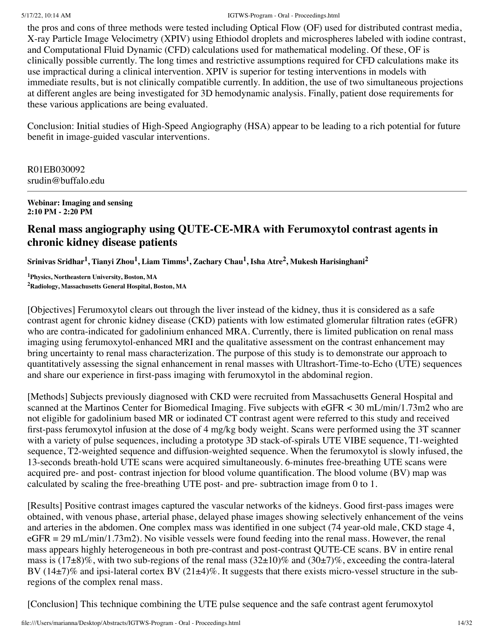the pros and cons of three methods were tested including Optical Flow (OF) used for distributed contrast media, X-ray Particle Image Velocimetry (XPIV) using Ethiodol droplets and microspheres labeled with iodine contrast, and Computational Fluid Dynamic (CFD) calculations used for mathematical modeling. Of these, OF is clinically possible currently. The long times and restrictive assumptions required for CFD calculations make its use impractical during a clinical intervention. XPIV is superior for testing interventions in models with immediate results, but is not clinically compatible currently. In addition, the use of two simultaneous projections at different angles are being investigated for 3D hemodynamic analysis. Finally, patient dose requirements for these various applications are being evaluated.

Conclusion: Initial studies of High-Speed Angiography (HSA) appear to be leading to a rich potential for future benefit in image-guided vascular interventions.

R01EB030092 srudin@buffalo.edu

**Webinar: Imaging and sensing 2:10 PM - 2:20 PM**

# **Renal mass angiography using QUTE-CE-MRA with Ferumoxytol contrast agents in chronic kidney disease patients**

Srinivas Sridhar<sup>1</sup>, Tianyi Zhou<sup>1</sup>, Liam Timms<sup>1</sup>, Zachary Chau<sup>1</sup>, Isha Atre<sup>2</sup>, Mukesh Harisinghani<sup>2</sup>

**<sup>1</sup>Physics, Northeastern University, Boston, MA <sup>2</sup>Radiology, Massachusetts General Hospital, Boston, MA**

[Objectives] Ferumoxytol clears out through the liver instead of the kidney, thus it is considered as a safe contrast agent for chronic kidney disease (CKD) patients with low estimated glomerular filtration rates (eGFR) who are contra-indicated for gadolinium enhanced MRA. Currently, there is limited publication on renal mass imaging using ferumoxytol-enhanced MRI and the qualitative assessment on the contrast enhancement may bring uncertainty to renal mass characterization. The purpose of this study is to demonstrate our approach to quantitatively assessing the signal enhancement in renal masses with Ultrashort-Time-to-Echo (UTE) sequences and share our experience in first-pass imaging with ferumoxytol in the abdominal region.

[Methods] Subjects previously diagnosed with CKD were recruited from Massachusetts General Hospital and scanned at the Martinos Center for Biomedical Imaging. Five subjects with eGFR < 30 mL/min/1.73m2 who are not eligible for gadolinium based MR or iodinated CT contrast agent were referred to this study and received first-pass ferumoxytol infusion at the dose of 4 mg/kg body weight. Scans were performed using the 3T scanner with a variety of pulse sequences, including a prototype 3D stack-of-spirals UTE VIBE sequence, T1-weighted sequence, T2-weighted sequence and diffusion-weighted sequence. When the ferumoxytol is slowly infused, the 13-seconds breath-hold UTE scans were acquired simultaneously. 6-minutes free-breathing UTE scans were acquired pre- and post- contrast injection for blood volume quantification. The blood volume (BV) map was calculated by scaling the free-breathing UTE post- and pre- subtraction image from 0 to 1.

[Results] Positive contrast images captured the vascular networks of the kidneys. Good first-pass images were obtained, with venous phase, arterial phase, delayed phase images showing selectively enhancement of the veins and arteries in the abdomen. One complex mass was identified in one subject (74 year-old male, CKD stage 4, eGFR = 29 mL/min/1.73m2). No visible vessels were found feeding into the renal mass. However, the renal mass appears highly heterogeneous in both pre-contrast and post-contrast QUTE-CE scans. BV in entire renal mass is  $(17\pm8)\%$ , with two sub-regions of the renal mass  $(32\pm10)\%$  and  $(30\pm7)\%$ , exceeding the contra-lateral BV (14 $\pm$ 7)% and ipsi-lateral cortex BV (21 $\pm$ 4)%. It suggests that there exists micro-vessel structure in the subregions of the complex renal mass.

[Conclusion] This technique combining the UTE pulse sequence and the safe contrast agent ferumoxytol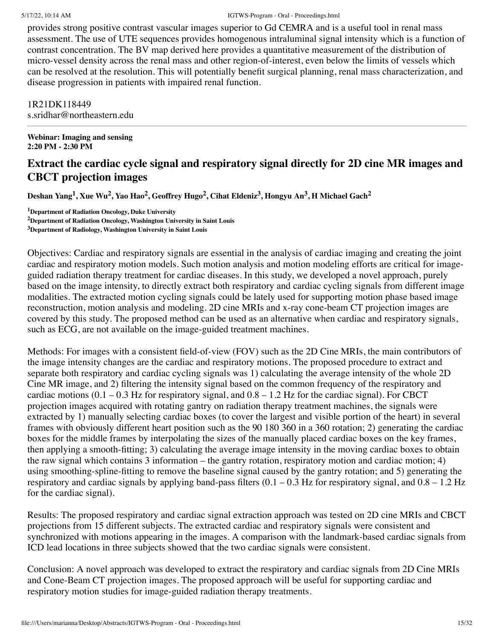provides strong positive contrast vascular images superior to Gd CEMRA and is a useful tool in renal mass assessment. The use of UTE sequences provides homogenous intraluminal signal intensity which is a function of contrast concentration. The BV map derived here provides a quantitative measurement of the distribution of micro-vessel density across the renal mass and other region-of-interest, even below the limits of vessels which can be resolved at the resolution. This will potentially benefit surgical planning, renal mass characterization, and disease progression in patients with impaired renal function.

1R21DK118449 s.sridhar@northeastern.edu

**Webinar: Imaging and sensing 2:20 PM - 2:30 PM**

# **Extract the cardiac cycle signal and respiratory signal directly for 2D cine MR images and CBCT projection images**

Deshan Yang $^1$ , Xue Wu $^2$ , Yao Hao $^2$ , Geoffrey Hugo $^2$ , Cihat Eldeniz $^3$ , Hongyu An $^3$ , H Michael Gach $^2$ 

**<sup>1</sup>Department of Radiation Oncology, Duke University**

**<sup>2</sup>Department of Radiation Oncology, Washington University in Saint Louis**

**<sup>3</sup>Department of Radiology, Washington University in Saint Louis**

Objectives: Cardiac and respiratory signals are essential in the analysis of cardiac imaging and creating the joint cardiac and respiratory motion models. Such motion analysis and motion modeling efforts are critical for imageguided radiation therapy treatment for cardiac diseases. In this study, we developed a novel approach, purely based on the image intensity, to directly extract both respiratory and cardiac cycling signals from different image modalities. The extracted motion cycling signals could be lately used for supporting motion phase based image reconstruction, motion analysis and modeling. 2D cine MRIs and x-ray cone-beam CT projection images are covered by this study. The proposed method can be used as an alternative when cardiac and respiratory signals, such as ECG, are not available on the image-guided treatment machines.

Methods: For images with a consistent field-of-view (FOV) such as the 2D Cine MRIs, the main contributors of the image intensity changes are the cardiac and respiratory motions. The proposed procedure to extract and separate both respiratory and cardiac cycling signals was 1) calculating the average intensity of the whole 2D Cine MR image, and 2) filtering the intensity signal based on the common frequency of the respiratory and cardiac motions  $(0.1 - 0.3 \text{ Hz}$  for respiratory signal, and  $0.8 - 1.2 \text{ Hz}$  for the cardiac signal). For CBCT projection images acquired with rotating gantry on radiation therapy treatment machines, the signals were extracted by 1) manually selecting cardiac boxes (to cover the largest and visible portion of the heart) in several frames with obviously different heart position such as the 90 180 360 in a 360 rotation; 2) generating the cardiac boxes for the middle frames by interpolating the sizes of the manually placed cardiac boxes on the key frames, then applying a smooth-fitting; 3) calculating the average image intensity in the moving cardiac boxes to obtain the raw signal which contains 3 information – the gantry rotation, respiratory motion and cardiac motion; 4) using smoothing-spline-fitting to remove the baseline signal caused by the gantry rotation; and 5) generating the respiratory and cardiac signals by applying band-pass filters  $(0.1 - 0.3 \text{ Hz}$  for respiratory signal, and  $0.8 - 1.2 \text{ Hz}$ for the cardiac signal).

Results: The proposed respiratory and cardiac signal extraction approach was tested on 2D cine MRIs and CBCT projections from 15 different subjects. The extracted cardiac and respiratory signals were consistent and synchronized with motions appearing in the images. A comparison with the landmark-based cardiac signals from ICD lead locations in three subjects showed that the two cardiac signals were consistent.

Conclusion: A novel approach was developed to extract the respiratory and cardiac signals from 2D Cine MRIs and Cone-Beam CT projection images. The proposed approach will be useful for supporting cardiac and respiratory motion studies for image-guided radiation therapy treatments.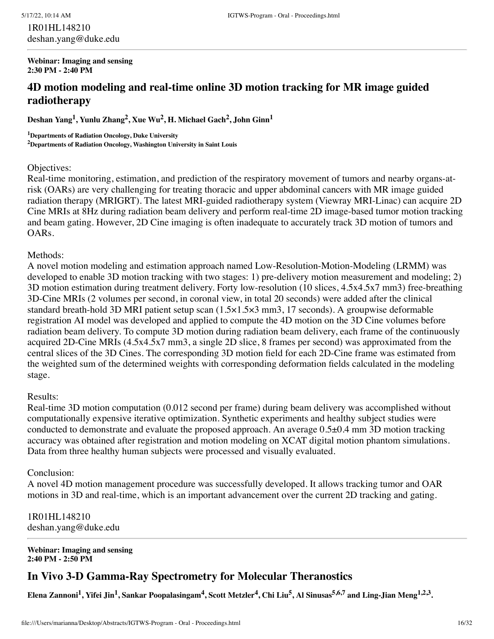1R01HL148210 deshan.yang@duke.edu

**Webinar: Imaging and sensing 2:30 PM - 2:40 PM**

# **4D motion modeling and real-time online 3D motion tracking for MR image guided radiotherapy**

**Deshan Yang 1 , Yunlu Zhang 2 , Xue Wu 2 , H. Michael Gach 2 , John Ginn 1**

**<sup>1</sup>Departments of Radiation Oncology, Duke University <sup>2</sup>Departments of Radiation Oncology, Washington University in Saint Louis**

#### Objectives:

Real-time monitoring, estimation, and prediction of the respiratory movement of tumors and nearby organs-atrisk (OARs) are very challenging for treating thoracic and upper abdominal cancers with MR image guided radiation therapy (MRIGRT). The latest MRI-guided radiotherapy system (Viewray MRI-Linac) can acquire 2D Cine MRIs at 8Hz during radiation beam delivery and perform real-time 2D image-based tumor motion tracking and beam gating. However, 2D Cine imaging is often inadequate to accurately track 3D motion of tumors and OARs.

### Methods:

A novel motion modeling and estimation approach named Low-Resolution-Motion-Modeling (LRMM) was developed to enable 3D motion tracking with two stages: 1) pre-delivery motion measurement and modeling; 2) 3D motion estimation during treatment delivery. Forty low-resolution (10 slices, 4.5x4.5x7 mm3) free-breathing 3D-Cine MRIs (2 volumes per second, in coronal view, in total 20 seconds) were added after the clinical standard breath-hold 3D MRI patient setup scan (1.5×1.5×3 mm3, 17 seconds). A groupwise deformable registration AI model was developed and applied to compute the 4D motion on the 3D Cine volumes before radiation beam delivery. To compute 3D motion during radiation beam delivery, each frame of the continuously acquired 2D-Cine MRIs (4.5x4.5x7 mm3, a single 2D slice, 8 frames per second) was approximated from the central slices of the 3D Cines. The corresponding 3D motion field for each 2D-Cine frame was estimated from the weighted sum of the determined weights with corresponding deformation fields calculated in the modeling stage.

#### Results:

Real-time 3D motion computation (0.012 second per frame) during beam delivery was accomplished without computationally expensive iterative optimization. Synthetic experiments and healthy subject studies were conducted to demonstrate and evaluate the proposed approach. An average 0.5±0.4 mm 3D motion tracking accuracy was obtained after registration and motion modeling on XCAT digital motion phantom simulations. Data from three healthy human subjects were processed and visually evaluated.

#### Conclusion:

A novel 4D motion management procedure was successfully developed. It allows tracking tumor and OAR motions in 3D and real-time, which is an important advancement over the current 2D tracking and gating.

1R01HL148210 deshan.yang@duke.edu

**Webinar: Imaging and sensing 2:40 PM - 2:50 PM**

# **In Vivo 3-D Gamma-Ray Spectrometry for Molecular Theranostics**

Elena Zannoni<sup>1</sup>, Yifei Jin<sup>1</sup>, Sankar Poopalasingam<sup>4</sup>, Scott Metzler<sup>4</sup>, Chi Liu<sup>5</sup>, Al Sinusas<sup>5,6,7</sup> and Ling-Jian Meng<sup>1,2,3</sup>.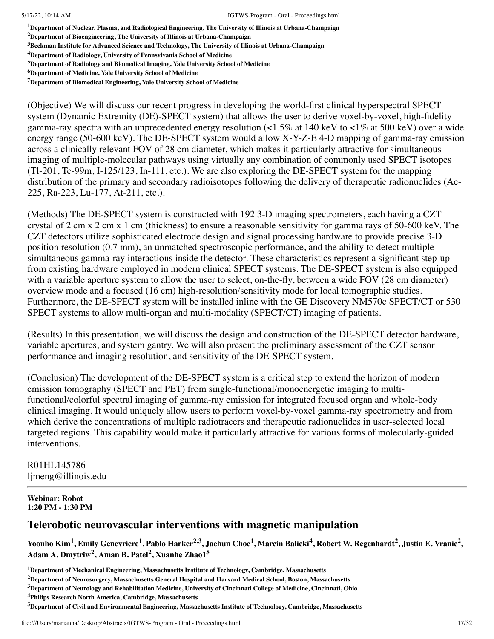**<sup>1</sup>Department of Nuclear, Plasma, and Radiological Engineering, The University of Illinois at Urbana-Champaign**

**<sup>2</sup>Department of Bioengineering, The University of Illinois at Urbana-Champaign**

**<sup>3</sup>Beckman Institute for Advanced Science and Technology, The University of Illinois at Urbana-Champaign**

**<sup>4</sup>Department of Radiology, University of Pennsylvania School of Medicine**

**<sup>5</sup>Department of Radiology and Biomedical Imaging, Yale University School of Medicine**

**<sup>7</sup>Department of Biomedical Engineering, Yale University School of Medicine**

(Objective) We will discuss our recent progress in developing the world-first clinical hyperspectral SPECT system (Dynamic Extremity (DE)-SPECT system) that allows the user to derive voxel-by-voxel, high-fidelity gamma-ray spectra with an unprecedented energy resolution (<1.5% at 140 keV to <1% at 500 keV) over a wide energy range (50-600 keV). The DE-SPECT system would allow X-Y-Z-E 4-D mapping of gamma-ray emission across a clinically relevant FOV of 28 cm diameter, which makes it particularly attractive for simultaneous imaging of multiple-molecular pathways using virtually any combination of commonly used SPECT isotopes (Tl-201, Tc-99m, I-125/123, In-111, etc.). We are also exploring the DE-SPECT system for the mapping distribution of the primary and secondary radioisotopes following the delivery of therapeutic radionuclides (Ac-225, Ra-223, Lu-177, At-211, etc.).

(Methods) The DE-SPECT system is constructed with 192 3-D imaging spectrometers, each having a CZT crystal of 2 cm x 2 cm x 1 cm (thickness) to ensure a reasonable sensitivity for gamma rays of 50-600 keV. The CZT detectors utilize sophisticated electrode design and signal processing hardware to provide precise 3-D position resolution (0.7 mm), an unmatched spectroscopic performance, and the ability to detect multiple simultaneous gamma-ray interactions inside the detector. These characteristics represent a significant step-up from existing hardware employed in modern clinical SPECT systems. The DE-SPECT system is also equipped with a variable aperture system to allow the user to select, on-the-fly, between a wide FOV (28 cm diameter) overview mode and a focused (16 cm) high-resolution/sensitivity mode for local tomographic studies. Furthermore, the DE-SPECT system will be installed inline with the GE Discovery NM570c SPECT/CT or 530 SPECT systems to allow multi-organ and multi-modality (SPECT/CT) imaging of patients.

(Results) In this presentation, we will discuss the design and construction of the DE-SPECT detector hardware, variable apertures, and system gantry. We will also present the preliminary assessment of the CZT sensor performance and imaging resolution, and sensitivity of the DE-SPECT system.

(Conclusion) The development of the DE-SPECT system is a critical step to extend the horizon of modern emission tomography (SPECT and PET) from single-functional/monoenergetic imaging to multifunctional/colorful spectral imaging of gamma-ray emission for integrated focused organ and whole-body clinical imaging. It would uniquely allow users to perform voxel-by-voxel gamma-ray spectrometry and from which derive the concentrations of multiple radiotracers and therapeutic radionuclides in user-selected local targeted regions. This capability would make it particularly attractive for various forms of molecularly-guided interventions.

R01HL145786 ljmeng@illinois.edu

#### **Webinar: Robot 1:20 PM - 1:30 PM**

## **Telerobotic neurovascular interventions with magnetic manipulation**

Yoonho Kim<sup>1</sup>, Emily Genevriere<sup>1</sup>, Pablo Harker<sup>2,3</sup>, Jaehun Choe<sup>1</sup>, Marcin Balicki<sup>4</sup>, Robert W. Regenhardt<sup>2</sup>, Justin E. Vranic<sup>2</sup>, **Adam A. Dmytriw 2 , Aman B. Patel 2 , Xuanhe Zhao1 5**

**<sup>6</sup>Department of Medicine, Yale University School of Medicine**

**<sup>1</sup>Department of Mechanical Engineering, Massachusetts Institute of Technology, Cambridge, Massachusetts**

**<sup>2</sup>Department of Neurosurgery, Massachusetts General Hospital and Harvard Medical School, Boston, Massachusetts**

**<sup>3</sup>Department of Neurology and Rehabilitation Medicine, University of Cincinnati College of Medicine, Cincinnati, Ohio**

**<sup>4</sup>Philips Research North America, Cambridge, Massachusetts**

**<sup>5</sup>Department of Civil and Environmental Engineering, Massachusetts Institute of Technology, Cambridge, Massachusetts**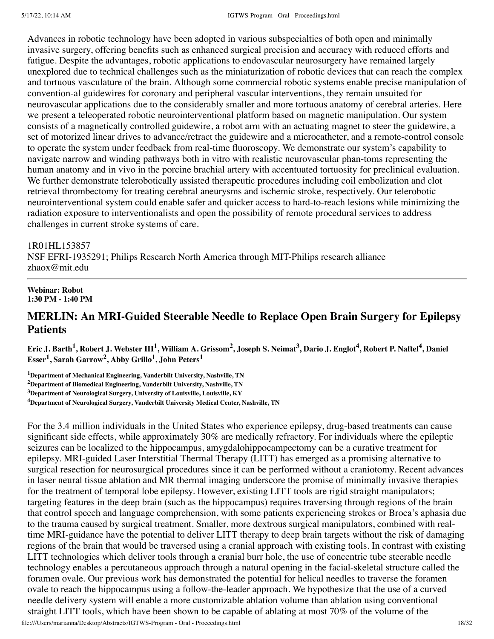Advances in robotic technology have been adopted in various subspecialties of both open and minimally invasive surgery, offering benefits such as enhanced surgical precision and accuracy with reduced efforts and fatigue. Despite the advantages, robotic applications to endovascular neurosurgery have remained largely unexplored due to technical challenges such as the miniaturization of robotic devices that can reach the complex and tortuous vasculature of the brain. Although some commercial robotic systems enable precise manipulation of convention-al guidewires for coronary and peripheral vascular interventions, they remain unsuited for neurovascular applications due to the considerably smaller and more tortuous anatomy of cerebral arteries. Here we present a teleoperated robotic neurointerventional platform based on magnetic manipulation. Our system consists of a magnetically controlled guidewire, a robot arm with an actuating magnet to steer the guidewire, a set of motorized linear drives to advance/retract the guidewire and a microcatheter, and a remote-control console to operate the system under feedback from real-time fluoroscopy. We demonstrate our system's capability to navigate narrow and winding pathways both in vitro with realistic neurovascular phan-toms representing the human anatomy and in vivo in the porcine brachial artery with accentuated tortuosity for preclinical evaluation. We further demonstrate telerobotically assisted therapeutic procedures including coil embolization and clot retrieval thrombectomy for treating cerebral aneurysms and ischemic stroke, respectively. Our telerobotic neurointerventional system could enable safer and quicker access to hard-to-reach lesions while minimizing the radiation exposure to interventionalists and open the possibility of remote procedural services to address challenges in current stroke systems of care.

#### 1R01HL153857

NSF EFRI-1935291; Philips Research North America through MIT-Philips research alliance zhaox@mit.edu

#### **Webinar: Robot 1:30 PM - 1:40 PM**

# **MERLIN: An MRI-Guided Steerable Needle to Replace Open Brain Surgery for Epilepsy Patients**

Eric J. Barth<sup>1</sup>, Robert J. Webster III<sup>1</sup>, William A. Grissom<sup>2</sup>, Joseph S. Neimat<sup>3</sup>, Dario J. Englot<sup>4</sup>, Robert P. Naftel<sup>4</sup>, Daniel **Esser 1 , Sarah Garrow 2 , Abby Grillo 1 , John Peters 1**

**<sup>1</sup>Department of Mechanical Engineering, Vanderbilt University, Nashville, TN**

**<sup>2</sup>Department of Biomedical Engineering, Vanderbilt University, Nashville, TN**

**<sup>3</sup>Department of Neurological Surgery, University of Louisville, Louisville, KY**

**<sup>4</sup>Department of Neurological Surgery, Vanderbilt University Medical Center, Nashville, TN**

For the 3.4 million individuals in the United States who experience epilepsy, drug-based treatments can cause significant side effects, while approximately 30% are medically refractory. For individuals where the epileptic seizures can be localized to the hippocampus, amygdalohippocampectomy can be a curative treatment for epilepsy. MRI-guided Laser Interstitial Thermal Therapy (LITT) has emerged as a promising alternative to surgical resection for neurosurgical procedures since it can be performed without a craniotomy. Recent advances in laser neural tissue ablation and MR thermal imaging underscore the promise of minimally invasive therapies for the treatment of temporal lobe epilepsy. However, existing LITT tools are rigid straight manipulators; targeting features in the deep brain (such as the hippocampus) requires traversing through regions of the brain that control speech and language comprehension, with some patients experiencing strokes or Broca's aphasia due to the trauma caused by surgical treatment. Smaller, more dextrous surgical manipulators, combined with realtime MRI-guidance have the potential to deliver LITT therapy to deep brain targets without the risk of damaging regions of the brain that would be traversed using a cranial approach with existing tools. In contrast with existing LITT technologies which deliver tools through a cranial burr hole, the use of concentric tube steerable needle technology enables a percutaneous approach through a natural opening in the facial-skeletal structure called the foramen ovale. Our previous work has demonstrated the potential for helical needles to traverse the foramen ovale to reach the hippocampus using a follow-the-leader approach. We hypothesize that the use of a curved needle delivery system will enable a more customizable ablation volume than ablation using conventional straight LITT tools, which have been shown to be capable of ablating at most 70% of the volume of the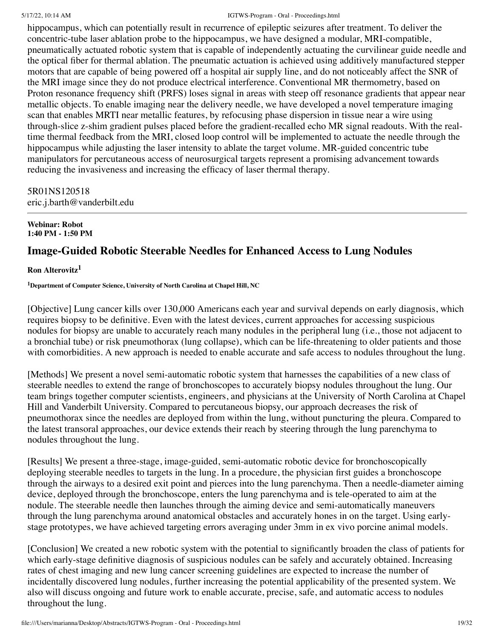hippocampus, which can potentially result in recurrence of epileptic seizures after treatment. To deliver the concentric-tube laser ablation probe to the hippocampus, we have designed a modular, MRI-compatible, pneumatically actuated robotic system that is capable of independently actuating the curvilinear guide needle and the optical fiber for thermal ablation. The pneumatic actuation is achieved using additively manufactured stepper motors that are capable of being powered off a hospital air supply line, and do not noticeably affect the SNR of the MRI image since they do not produce electrical interference. Conventional MR thermometry, based on Proton resonance frequency shift (PRFS) loses signal in areas with steep off resonance gradients that appear near metallic objects. To enable imaging near the delivery needle, we have developed a novel temperature imaging scan that enables MRTI near metallic features, by refocusing phase dispersion in tissue near a wire using through-slice z-shim gradient pulses placed before the gradient-recalled echo MR signal readouts. With the realtime thermal feedback from the MRI, closed loop control will be implemented to actuate the needle through the hippocampus while adjusting the laser intensity to ablate the target volume. MR-guided concentric tube manipulators for percutaneous access of neurosurgical targets represent a promising advancement towards reducing the invasiveness and increasing the efficacy of laser thermal therapy.

## 5R01NS120518 eric.j.barth@vanderbilt.edu

#### **Webinar: Robot 1:40 PM - 1:50 PM**

# **Image-Guided Robotic Steerable Needles for Enhanced Access to Lung Nodules**

## **Ron Alterovitz 1**

**<sup>1</sup>Department of Computer Science, University of North Carolina at Chapel Hill, NC**

[Objective] Lung cancer kills over 130,000 Americans each year and survival depends on early diagnosis, which requires biopsy to be definitive. Even with the latest devices, current approaches for accessing suspicious nodules for biopsy are unable to accurately reach many nodules in the peripheral lung (i.e., those not adjacent to a bronchial tube) or risk pneumothorax (lung collapse), which can be life-threatening to older patients and those with comorbidities. A new approach is needed to enable accurate and safe access to nodules throughout the lung.

[Methods] We present a novel semi-automatic robotic system that harnesses the capabilities of a new class of steerable needles to extend the range of bronchoscopes to accurately biopsy nodules throughout the lung. Our team brings together computer scientists, engineers, and physicians at the University of North Carolina at Chapel Hill and Vanderbilt University. Compared to percutaneous biopsy, our approach decreases the risk of pneumothorax since the needles are deployed from within the lung, without puncturing the pleura. Compared to the latest transoral approaches, our device extends their reach by steering through the lung parenchyma to nodules throughout the lung.

[Results] We present a three-stage, image-guided, semi-automatic robotic device for bronchoscopically deploying steerable needles to targets in the lung. In a procedure, the physician first guides a bronchoscope through the airways to a desired exit point and pierces into the lung parenchyma. Then a needle-diameter aiming device, deployed through the bronchoscope, enters the lung parenchyma and is tele-operated to aim at the nodule. The steerable needle then launches through the aiming device and semi-automatically maneuvers through the lung parenchyma around anatomical obstacles and accurately hones in on the target. Using earlystage prototypes, we have achieved targeting errors averaging under 3mm in ex vivo porcine animal models.

[Conclusion] We created a new robotic system with the potential to significantly broaden the class of patients for which early-stage definitive diagnosis of suspicious nodules can be safely and accurately obtained. Increasing rates of chest imaging and new lung cancer screening guidelines are expected to increase the number of incidentally discovered lung nodules, further increasing the potential applicability of the presented system. We also will discuss ongoing and future work to enable accurate, precise, safe, and automatic access to nodules throughout the lung.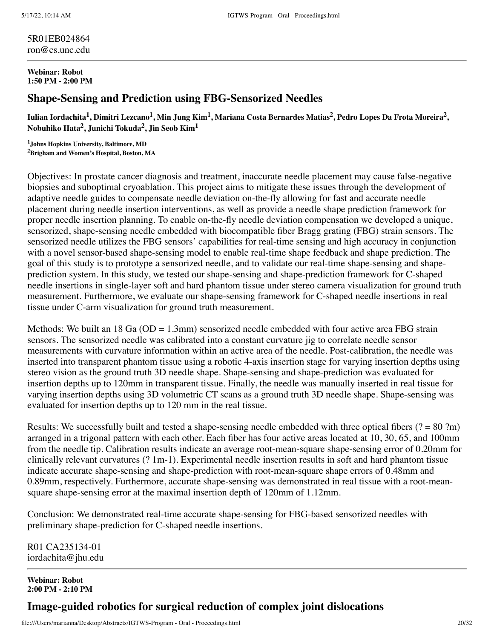#### 5R01EB024864 ron@cs.unc.edu

#### **Webinar: Robot 1:50 PM - 2:00 PM**

## **Shape-Sensing and Prediction using FBG-Sensorized Needles**

Iulian Iordachita<sup>1</sup>, Dimitri Lezcano<sup>1</sup>, Min Jung Kim<sup>1</sup>, Mariana Costa Bernardes Matias<sup>2</sup>, Pedro Lopes Da Frota Moreira<sup>2</sup>, **Nobuhiko Hata 2 , Junichi Tokuda 2 , Jin Seob Kim<sup>1</sup>**

**<sup>1</sup>Johns Hopkins University, Baltimore, MD <sup>2</sup>Brigham and Women's Hospital, Boston, MA**

Objectives: In prostate cancer diagnosis and treatment, inaccurate needle placement may cause false-negative biopsies and suboptimal cryoablation. This project aims to mitigate these issues through the development of adaptive needle guides to compensate needle deviation on-the-fly allowing for fast and accurate needle placement during needle insertion interventions, as well as provide a needle shape prediction framework for proper needle insertion planning. To enable on-the-fly needle deviation compensation we developed a unique, sensorized, shape-sensing needle embedded with biocompatible fiber Bragg grating (FBG) strain sensors. The sensorized needle utilizes the FBG sensors' capabilities for real-time sensing and high accuracy in conjunction with a novel sensor-based shape-sensing model to enable real-time shape feedback and shape prediction. The goal of this study is to prototype a sensorized needle, and to validate our real-time shape-sensing and shapeprediction system. In this study, we tested our shape-sensing and shape-prediction framework for C-shaped needle insertions in single-layer soft and hard phantom tissue under stereo camera visualization for ground truth measurement. Furthermore, we evaluate our shape-sensing framework for C-shaped needle insertions in real tissue under C-arm visualization for ground truth measurement.

Methods: We built an 18 Ga ( $OD = 1.3$ mm) sensorized needle embedded with four active area FBG strain sensors. The sensorized needle was calibrated into a constant curvature jig to correlate needle sensor measurements with curvature information within an active area of the needle. Post-calibration, the needle was inserted into transparent phantom tissue using a robotic 4-axis insertion stage for varying insertion depths using stereo vision as the ground truth 3D needle shape. Shape-sensing and shape-prediction was evaluated for insertion depths up to 120mm in transparent tissue. Finally, the needle was manually inserted in real tissue for varying insertion depths using 3D volumetric CT scans as a ground truth 3D needle shape. Shape-sensing was evaluated for insertion depths up to 120 mm in the real tissue.

Results: We successfully built and tested a shape-sensing needle embedded with three optical fibers ( $? = 80$  ?m) arranged in a trigonal pattern with each other. Each fiber has four active areas located at 10, 30, 65, and 100mm from the needle tip. Calibration results indicate an average root-mean-square shape-sensing error of 0.20mm for clinically relevant curvatures (? 1m-1). Experimental needle insertion results in soft and hard phantom tissue indicate accurate shape-sensing and shape-prediction with root-mean-square shape errors of 0.48mm and 0.89mm, respectively. Furthermore, accurate shape-sensing was demonstrated in real tissue with a root-meansquare shape-sensing error at the maximal insertion depth of 120mm of 1.12mm.

Conclusion: We demonstrated real-time accurate shape-sensing for FBG-based sensorized needles with preliminary shape-prediction for C-shaped needle insertions.

R01 CA235134-01 iordachita@jhu.edu

**Webinar: Robot 2:00 PM - 2:10 PM**

## **Image-guided robotics for surgical reduction of complex joint dislocations**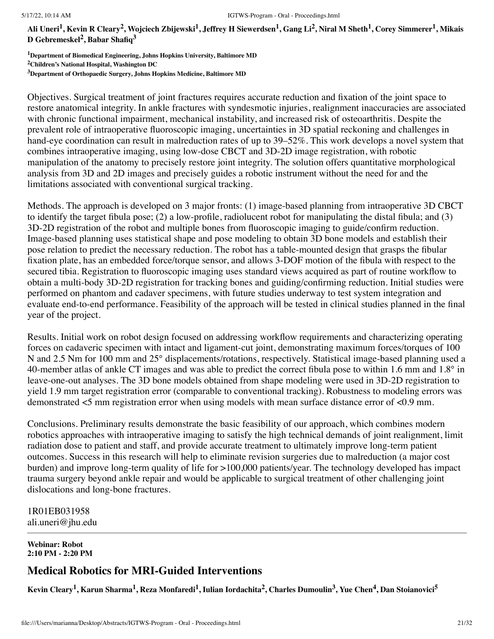Ali Uneri<sup>1</sup>, Kevin R Cleary<sup>2</sup>, Wojciech Zbijewski<sup>1</sup>, Jeffrey H Siewerdsen<sup>1</sup>, Gang Li<sup>2</sup>, Niral M Sheth<sup>1</sup>, Corey Simmerer<sup>1</sup>, Mikais **D Gebremeskel 2 , Babar Shafiq 3**

**<sup>1</sup>Department of Biomedical Engineering, Johns Hopkins University, Baltimore MD <sup>2</sup>Children's National Hospital, Washington DC**

**<sup>3</sup>Department of Orthopaedic Surgery, Johns Hopkins Medicine, Baltimore MD**

Objectives. Surgical treatment of joint fractures requires accurate reduction and fixation of the joint space to restore anatomical integrity. In ankle fractures with syndesmotic injuries, realignment inaccuracies are associated with chronic functional impairment, mechanical instability, and increased risk of osteoarthritis. Despite the prevalent role of intraoperative fluoroscopic imaging, uncertainties in 3D spatial reckoning and challenges in hand-eye coordination can result in malreduction rates of up to 39–52%. This work develops a novel system that combines intraoperative imaging, using low-dose CBCT and 3D-2D image registration, with robotic manipulation of the anatomy to precisely restore joint integrity. The solution offers quantitative morphological analysis from 3D and 2D images and precisely guides a robotic instrument without the need for and the limitations associated with conventional surgical tracking.

Methods. The approach is developed on 3 major fronts: (1) image-based planning from intraoperative 3D CBCT to identify the target fibula pose; (2) a low-profile, radiolucent robot for manipulating the distal fibula; and (3) 3D-2D registration of the robot and multiple bones from fluoroscopic imaging to guide/confirm reduction. Image-based planning uses statistical shape and pose modeling to obtain 3D bone models and establish their pose relation to predict the necessary reduction. The robot has a table-mounted design that grasps the fibular fixation plate, has an embedded force/torque sensor, and allows 3-DOF motion of the fibula with respect to the secured tibia. Registration to fluoroscopic imaging uses standard views acquired as part of routine workflow to obtain a multi-body 3D-2D registration for tracking bones and guiding/confirming reduction. Initial studies were performed on phantom and cadaver specimens, with future studies underway to test system integration and evaluate end-to-end performance. Feasibility of the approach will be tested in clinical studies planned in the final year of the project.

Results. Initial work on robot design focused on addressing workflow requirements and characterizing operating forces on cadaveric specimen with intact and ligament-cut joint, demonstrating maximum forces/torques of 100 N and 2.5 Nm for 100 mm and 25° displacements/rotations, respectively. Statistical image-based planning used a 40-member atlas of ankle CT images and was able to predict the correct fibula pose to within 1.6 mm and 1.8° in leave-one-out analyses. The 3D bone models obtained from shape modeling were used in 3D-2D registration to yield 1.9 mm target registration error (comparable to conventional tracking). Robustness to modeling errors was demonstrated <5 mm registration error when using models with mean surface distance error of <0.9 mm.

Conclusions. Preliminary results demonstrate the basic feasibility of our approach, which combines modern robotics approaches with intraoperative imaging to satisfy the high technical demands of joint realignment, limit radiation dose to patient and staff, and provide accurate treatment to ultimately improve long-term patient outcomes. Success in this research will help to eliminate revision surgeries due to malreduction (a major cost burden) and improve long-term quality of life for >100,000 patients/year. The technology developed has impact trauma surgery beyond ankle repair and would be applicable to surgical treatment of other challenging joint dislocations and long-bone fractures.

1R01EB031958 ali.uneri@jhu.edu

**Webinar: Robot 2:10 PM - 2:20 PM**

## **Medical Robotics for MRI-Guided Interventions**

Kevin Cleary<sup>1</sup>, Karun Sharma<sup>1</sup>, Reza Monfaredi<sup>1</sup>, Iulian Iordachita<sup>2</sup>, Charles Dumoulin<sup>3</sup>, Yue Chen<sup>4</sup>, Dan Stoianovici<sup>5</sup>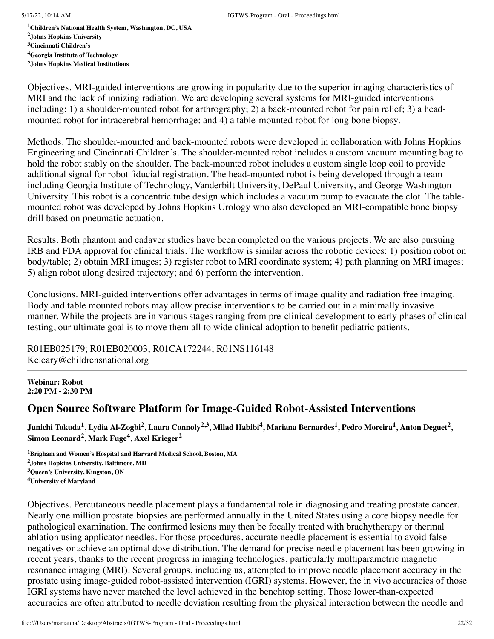**Children's National Health System, Washington, DC, USA Johns Hopkins University Cincinnati Children's Georgia Institute of Technology Johns Hopkins Medical Institutions**

Objectives. MRI-guided interventions are growing in popularity due to the superior imaging characteristics of MRI and the lack of ionizing radiation. We are developing several systems for MRI-guided interventions including: 1) a shoulder-mounted robot for arthrography; 2) a back-mounted robot for pain relief; 3) a headmounted robot for intracerebral hemorrhage; and 4) a table-mounted robot for long bone biopsy.

Methods. The shoulder-mounted and back-mounted robots were developed in collaboration with Johns Hopkins Engineering and Cincinnati Children's. The shoulder-mounted robot includes a custom vacuum mounting bag to hold the robot stably on the shoulder. The back-mounted robot includes a custom single loop coil to provide additional signal for robot fiducial registration. The head-mounted robot is being developed through a team including Georgia Institute of Technology, Vanderbilt University, DePaul University, and George Washington University. This robot is a concentric tube design which includes a vacuum pump to evacuate the clot. The tablemounted robot was developed by Johns Hopkins Urology who also developed an MRI-compatible bone biopsy drill based on pneumatic actuation.

Results. Both phantom and cadaver studies have been completed on the various projects. We are also pursuing IRB and FDA approval for clinical trials. The workflow is similar across the robotic devices: 1) position robot on body/table; 2) obtain MRI images; 3) register robot to MRI coordinate system; 4) path planning on MRI images; 5) align robot along desired trajectory; and 6) perform the intervention.

Conclusions. MRI-guided interventions offer advantages in terms of image quality and radiation free imaging. Body and table mounted robots may allow precise interventions to be carried out in a minimally invasive manner. While the projects are in various stages ranging from pre-clinical development to early phases of clinical testing, our ultimate goal is to move them all to wide clinical adoption to benefit pediatric patients.

R01EB025179; R01EB020003; R01CA172244; R01NS116148 Kcleary@childrensnational.org

**Webinar: Robot 2:20 PM - 2:30 PM**

## **Open Source Software Platform for Image-Guided Robot-Assisted Interventions**

Junichi Tokuda<sup>1</sup>, Lydia Al-Zogbi<sup>2</sup>, Laura Connoly<sup>2,3</sup>, Milad Habibi<sup>4</sup>, Mariana Bernardes<sup>1</sup>, Pedro Moreira<sup>1</sup>, Anton Deguet<sup>2</sup>, **Simon Leonard 2 , Mark Fuge 4 , Axel Krieger 2**

**Brigham and Women's Hospital and Harvard Medical School, Boston, MA Johns Hopkins University, Baltimore, MD Queen's University, Kingston, ON University of Maryland**

Objectives. Percutaneous needle placement plays a fundamental role in diagnosing and treating prostate cancer. Nearly one million prostate biopsies are performed annually in the United States using a core biopsy needle for pathological examination. The confirmed lesions may then be focally treated with brachytherapy or thermal ablation using applicator needles. For those procedures, accurate needle placement is essential to avoid false negatives or achieve an optimal dose distribution. The demand for precise needle placement has been growing in recent years, thanks to the recent progress in imaging technologies, particularly multiparametric magnetic resonance imaging (MRI). Several groups, including us, attempted to improve needle placement accuracy in the prostate using image-guided robot-assisted intervention (IGRI) systems. However, the in vivo accuracies of those IGRI systems have never matched the level achieved in the benchtop setting. Those lower-than-expected accuracies are often attributed to needle deviation resulting from the physical interaction between the needle and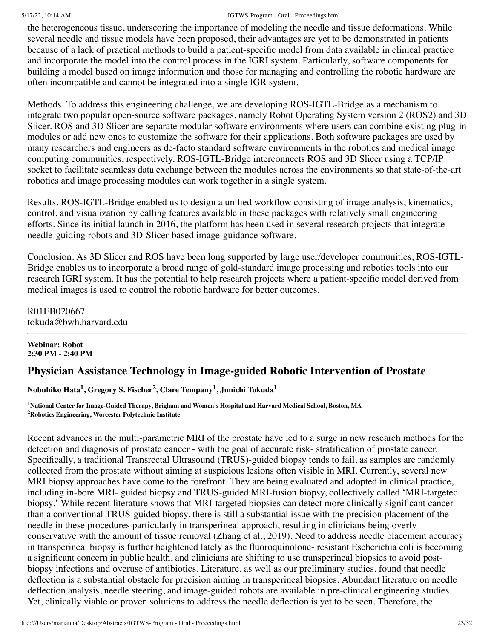the heterogeneous tissue, underscoring the importance of modeling the needle and tissue deformations. While several needle and tissue models have been proposed, their advantages are yet to be demonstrated in patients because of a lack of practical methods to build a patient-specific model from data available in clinical practice and incorporate the model into the control process in the IGRI system. Particularly, software components for building a model based on image information and those for managing and controlling the robotic hardware are often incompatible and cannot be integrated into a single IGR system.

Methods. To address this engineering challenge, we are developing ROS-IGTL-Bridge as a mechanism to integrate two popular open-source software packages, namely Robot Operating System version 2 (ROS2) and 3D Slicer. ROS and 3D Slicer are separate modular software environments where users can combine existing plug-in modules or add new ones to customize the software for their applications. Both software packages are used by many researchers and engineers as de-facto standard software environments in the robotics and medical image computing communities, respectively. ROS-IGTL-Bridge interconnects ROS and 3D Slicer using a TCP/IP socket to facilitate seamless data exchange between the modules across the environments so that state-of-the-art robotics and image processing modules can work together in a single system.

Results. ROS-IGTL-Bridge enabled us to design a unified workflow consisting of image analysis, kinematics, control, and visualization by calling features available in these packages with relatively small engineering efforts. Since its initial launch in 2016, the platform has been used in several research projects that integrate needle-guiding robots and 3D-Slicer-based image-guidance software.

Conclusion. As 3D Slicer and ROS have been long supported by large user/developer communities, ROS-IGTL-Bridge enables us to incorporate a broad range of gold-standard image processing and robotics tools into our research IGRI system. It has the potential to help research projects where a patient-specific model derived from medical images is used to control the robotic hardware for better outcomes.

R01EB020667 tokuda@bwh.harvard.edu

#### **Webinar: Robot 2:30 PM - 2:40 PM**

# **Physician Assistance Technology in Image-guided Robotic Intervention of Prostate**

**Nobuhiko Hata 1 , Gregory S. Fischer 2 , Clare Tempany 1 , Junichi Tokuda 1**

**<sup>1</sup>National Center for Image-Guided Therapy, Brigham and Women's Hospital and Harvard Medical School, Boston, MA <sup>2</sup>Robotics Engineering, Worcester Polytechnic Institute**

Recent advances in the multi-parametric MRI of the prostate have led to a surge in new research methods for the detection and diagnosis of prostate cancer - with the goal of accurate risk- stratification of prostate cancer. Specifically, a traditional Transrectal Ultrasound (TRUS)-guided biopsy tends to fail, as samples are randomly collected from the prostate without aiming at suspicious lesions often visible in MRI. Currently, several new MRI biopsy approaches have come to the forefront. They are being evaluated and adopted in clinical practice, including in-bore MRI- guided biopsy and TRUS-guided MRI-fusion biopsy, collectively called 'MRI-targeted biopsy.' While recent literature shows that MRI-targeted biopsies can detect more clinically significant cancer than a conventional TRUS-guided biopsy, there is still a substantial issue with the precision placement of the needle in these procedures particularly in transperineal approach, resulting in clinicians being overly conservative with the amount of tissue removal (Zhang et al., 2019). Need to address needle placement accuracy in transperineal biopsy is further heightened lately as the fluoroquinolone- resistant Escherichia coli is becoming a significant concern in public health, and clinicians are shifting to use transperineal biopsies to avoid postbiopsy infections and overuse of antibiotics. Literature, as well as our preliminary studies, found that needle deflection is a substantial obstacle for precision aiming in transperineal biopsies. Abundant literature on needle deflection analysis, needle steering, and image-guided robots are available in pre-clinical engineering studies. Yet, clinically viable or proven solutions to address the needle deflection is yet to be seen. Therefore, the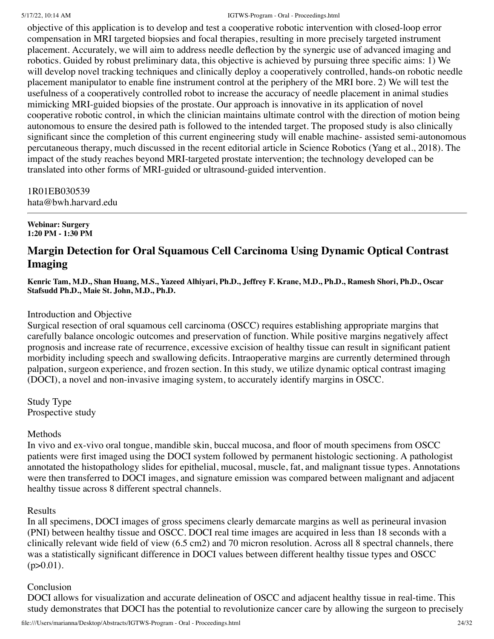objective of this application is to develop and test a cooperative robotic intervention with closed-loop error compensation in MRI targeted biopsies and focal therapies, resulting in more precisely targeted instrument placement. Accurately, we will aim to address needle deflection by the synergic use of advanced imaging and robotics. Guided by robust preliminary data, this objective is achieved by pursuing three specific aims: 1) We will develop novel tracking techniques and clinically deploy a cooperatively controlled, hands-on robotic needle placement manipulator to enable fine instrument control at the periphery of the MRI bore. 2) We will test the usefulness of a cooperatively controlled robot to increase the accuracy of needle placement in animal studies mimicking MRI-guided biopsies of the prostate. Our approach is innovative in its application of novel cooperative robotic control, in which the clinician maintains ultimate control with the direction of motion being autonomous to ensure the desired path is followed to the intended target. The proposed study is also clinically significant since the completion of this current engineering study will enable machine- assisted semi-autonomous percutaneous therapy, much discussed in the recent editorial article in Science Robotics (Yang et al., 2018). The impact of the study reaches beyond MRI-targeted prostate intervention; the technology developed can be translated into other forms of MRI-guided or ultrasound-guided intervention.

1R01EB030539 hata@bwh.harvard.edu

**Webinar: Surgery 1:20 PM - 1:30 PM**

# **Margin Detection for Oral Squamous Cell Carcinoma Using Dynamic Optical Contrast Imaging**

Kenric Tam, M.D., Shan Huang, M.S., Yazeed Alhiyari, Ph.D., Jeffrey F. Krane, M.D., Ph.D., Ramesh Shori, Ph.D., Oscar **Stafsudd Ph.D., Maie St. John, M.D., Ph.D.**

### Introduction and Objective

Surgical resection of oral squamous cell carcinoma (OSCC) requires establishing appropriate margins that carefully balance oncologic outcomes and preservation of function. While positive margins negatively affect prognosis and increase rate of recurrence, excessive excision of healthy tissue can result in significant patient morbidity including speech and swallowing deficits. Intraoperative margins are currently determined through palpation, surgeon experience, and frozen section. In this study, we utilize dynamic optical contrast imaging (DOCI), a novel and non-invasive imaging system, to accurately identify margins in OSCC.

Study Type Prospective study

## Methods

In vivo and ex-vivo oral tongue, mandible skin, buccal mucosa, and floor of mouth specimens from OSCC patients were first imaged using the DOCI system followed by permanent histologic sectioning. A pathologist annotated the histopathology slides for epithelial, mucosal, muscle, fat, and malignant tissue types. Annotations were then transferred to DOCI images, and signature emission was compared between malignant and adjacent healthy tissue across 8 different spectral channels.

Results

In all specimens, DOCI images of gross specimens clearly demarcate margins as well as perineural invasion (PNI) between healthy tissue and OSCC. DOCI real time images are acquired in less than 18 seconds with a clinically relevant wide field of view (6.5 cm2) and 70 micron resolution. Across all 8 spectral channels, there was a statistically significant difference in DOCI values between different healthy tissue types and OSCC  $(p>0.01)$ .

## Conclusion

DOCI allows for visualization and accurate delineation of OSCC and adjacent healthy tissue in real-time. This study demonstrates that DOCI has the potential to revolutionize cancer care by allowing the surgeon to precisely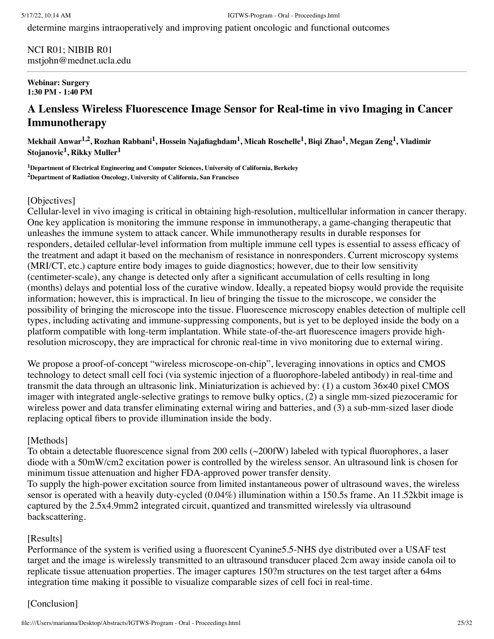determine margins intraoperatively and improving patient oncologic and functional outcomes

NCI R01; NIBIB R01 mstjohn@mednet.ucla.edu

#### **Webinar: Surgery 1:30 PM - 1:40 PM**

# **A Lensless Wireless Fluorescence Image Sensor for Real-time in vivo Imaging in Cancer Immunotherapy**

Mekhail Anwar<sup>1,2</sup>, Rozhan Rabbani<sup>1</sup>, Hossein Najafiaghdam<sup>1</sup>, Micah Roschelle<sup>1</sup>, Biqi Zhao<sup>1</sup>, Megan Zeng<sup>1</sup>, Vladimir **Stojanovic 1 , Rikky Muller 1**

**<sup>1</sup>Department of Electrical Engineering and Computer Sciences, University of California, Berkeley <sup>2</sup>Department of Radiation Oncology, University of California, San Francisco**

## [Objectives]

Cellular-level in vivo imaging is critical in obtaining high-resolution, multicellular information in cancer therapy. One key application is monitoring the immune response in immunotherapy, a game-changing therapeutic that unleashes the immune system to attack cancer. While immunotherapy results in durable responses for responders, detailed cellular-level information from multiple immune cell types is essential to assess efficacy of the treatment and adapt it based on the mechanism of resistance in nonresponders. Current microscopy systems (MRI/CT, etc.) capture entire body images to guide diagnostics; however, due to their low sensitivity (centimeter-scale), any change is detected only after a significant accumulation of cells resulting in long (months) delays and potential loss of the curative window. Ideally, a repeated biopsy would provide the requisite information; however, this is impractical. In lieu of bringing the tissue to the microscope, we consider the possibility of bringing the microscope into the tissue. Fluorescence microscopy enables detection of multiple cell types, including activating and immune-suppressing components, but is yet to be deployed inside the body on a platform compatible with long-term implantation. While state-of-the-art fluorescence imagers provide highresolution microscopy, they are impractical for chronic real-time in vivo monitoring due to external wiring.

We propose a proof-of-concept "wireless microscope-on-chip", leveraging innovations in optics and CMOS technology to detect small cell foci (via systemic injection of a fluorophore-labeled antibody) in real-time and transmit the data through an ultrasonic link. Miniaturization is achieved by: (1) a custom 36×40 pixel CMOS imager with integrated angle-selective gratings to remove bulky optics, (2) a single mm-sized piezoceramic for wireless power and data transfer eliminating external wiring and batteries, and (3) a sub-mm-sized laser diode replacing optical fibers to provide illumination inside the body.

## [Methods]

To obtain a detectable fluorescence signal from 200 cells (~200fW) labeled with typical fluorophores, a laser diode with a 50mW/cm2 excitation power is controlled by the wireless sensor. An ultrasound link is chosen for minimum tissue attenuation and higher FDA-approved power transfer density.

To supply the high-power excitation source from limited instantaneous power of ultrasound waves, the wireless sensor is operated with a heavily duty-cycled (0.04%) illumination within a 150.5s frame. An 11.52kbit image is captured by the 2.5x4.9mm2 integrated circuit, quantized and transmitted wirelessly via ultrasound backscattering.

## [Results]

Performance of the system is verified using a fluorescent Cyanine5.5-NHS dye distributed over a USAF test target and the image is wirelessly transmitted to an ultrasound transducer placed 2cm away inside canola oil to replicate tissue attenuation properties. The imager captures 150?m structures on the test target after a 64ms integration time making it possible to visualize comparable sizes of cell foci in real-time.

## [Conclusion]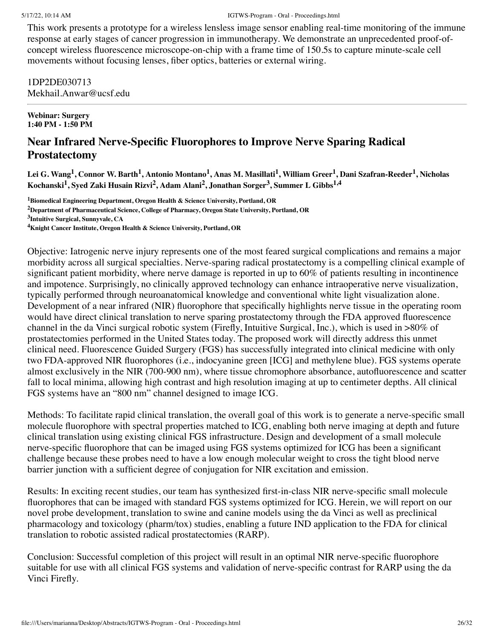This work presents a prototype for a wireless lensless image sensor enabling real-time monitoring of the immune response at early stages of cancer progression in immunotherapy. We demonstrate an unprecedented proof-ofconcept wireless fluorescence microscope-on-chip with a frame time of 150.5s to capture minute-scale cell movements without focusing lenses, fiber optics, batteries or external wiring.

## 1DP2DE030713 Mekhail.Anwar@ucsf.edu

**Webinar: Surgery 1:40 PM - 1:50 PM**

# **Near Infrared Nerve-Specific Fluorophores to Improve Nerve Sparing Radical Prostatectomy**

Lei G. Wang<sup>1</sup>, Connor W. Barth<sup>1</sup>, Antonio Montano<sup>1</sup>, Anas M. Masillati<sup>1</sup>, William Greer<sup>1</sup>, Dani Szafran-Reeder<sup>1</sup>, Nicholas Kochanski $^1$ , Syed Zaki Husain Rizvi $^2$ , Adam Alani $^2$ , Jonathan Sorger $^3$ , Summer L Gibbs $^{1,4}$ 

**<sup>1</sup>Biomedical Engineering Department, Oregon Health & Science University, Portland, OR**

**<sup>2</sup>Department of Pharmaceutical Science, College of Pharmacy, Oregon State University, Portland, OR**

**<sup>4</sup>Knight Cancer Institute, Oregon Health & Science University, Portland, OR**

Objective: Iatrogenic nerve injury represents one of the most feared surgical complications and remains a major morbidity across all surgical specialties. Nerve-sparing radical prostatectomy is a compelling clinical example of significant patient morbidity, where nerve damage is reported in up to 60% of patients resulting in incontinence and impotence. Surprisingly, no clinically approved technology can enhance intraoperative nerve visualization, typically performed through neuroanatomical knowledge and conventional white light visualization alone. Development of a near infrared (NIR) fluorophore that specifically highlights nerve tissue in the operating room would have direct clinical translation to nerve sparing prostatectomy through the FDA approved fluorescence channel in the da Vinci surgical robotic system (Firefly, Intuitive Surgical, Inc.), which is used in >80% of prostatectomies performed in the United States today. The proposed work will directly address this unmet clinical need. Fluorescence Guided Surgery (FGS) has successfully integrated into clinical medicine with only two FDA-approved NIR fluorophores (i.e., indocyanine green [ICG] and methylene blue). FGS systems operate almost exclusively in the NIR (700-900 nm), where tissue chromophore absorbance, autofluorescence and scatter fall to local minima, allowing high contrast and high resolution imaging at up to centimeter depths. All clinical FGS systems have an "800 nm" channel designed to image ICG.

Methods: To facilitate rapid clinical translation, the overall goal of this work is to generate a nerve-specific small molecule fluorophore with spectral properties matched to ICG, enabling both nerve imaging at depth and future clinical translation using existing clinical FGS infrastructure. Design and development of a small molecule nerve-specific fluorophore that can be imaged using FGS systems optimized for ICG has been a significant challenge because these probes need to have a low enough molecular weight to cross the tight blood nerve barrier junction with a sufficient degree of conjugation for NIR excitation and emission.

Results: In exciting recent studies, our team has synthesized first-in-class NIR nerve-specific small molecule fluorophores that can be imaged with standard FGS systems optimized for ICG. Herein, we will report on our novel probe development, translation to swine and canine models using the da Vinci as well as preclinical pharmacology and toxicology (pharm/tox) studies, enabling a future IND application to the FDA for clinical translation to robotic assisted radical prostatectomies (RARP).

Conclusion: Successful completion of this project will result in an optimal NIR nerve-specific fluorophore suitable for use with all clinical FGS systems and validation of nerve-specific contrast for RARP using the da Vinci Firefly.

**<sup>3</sup> Intuitive Surgical, Sunnyvale, CA**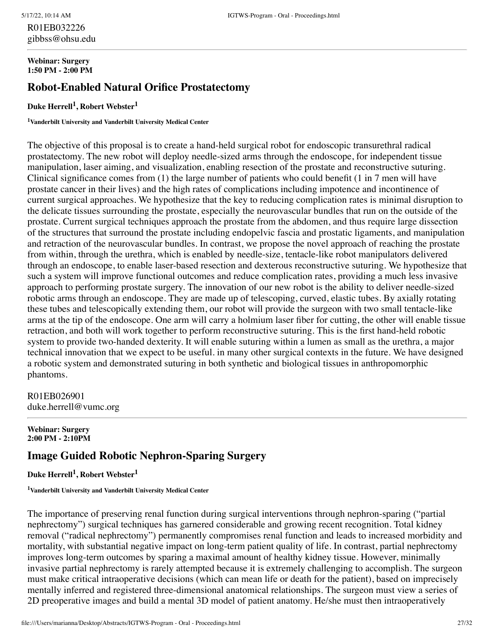## R01EB032226 gibbss@ohsu.edu

#### **Webinar: Surgery 1:50 PM - 2:00 PM**

# **Robot-Enabled Natural Orifice Prostatectomy**

## **Duke Herrell 1 , Robert Webster 1**

**<sup>1</sup>Vanderbilt University and Vanderbilt University Medical Center**

The objective of this proposal is to create a hand-held surgical robot for endoscopic transurethral radical prostatectomy. The new robot will deploy needle-sized arms through the endoscope, for independent tissue manipulation, laser aiming, and visualization, enabling resection of the prostate and reconstructive suturing. Clinical significance comes from (1) the large number of patients who could benefit (1 in 7 men will have prostate cancer in their lives) and the high rates of complications including impotence and incontinence of current surgical approaches. We hypothesize that the key to reducing complication rates is minimal disruption to the delicate tissues surrounding the prostate, especially the neurovascular bundles that run on the outside of the prostate. Current surgical techniques approach the prostate from the abdomen, and thus require large dissection of the structures that surround the prostate including endopelvic fascia and prostatic ligaments, and manipulation and retraction of the neurovascular bundles. In contrast, we propose the novel approach of reaching the prostate from within, through the urethra, which is enabled by needle-size, tentacle-like robot manipulators delivered through an endoscope, to enable laser-based resection and dexterous reconstructive suturing. We hypothesize that such a system will improve functional outcomes and reduce complication rates, providing a much less invasive approach to performing prostate surgery. The innovation of our new robot is the ability to deliver needle-sized robotic arms through an endoscope. They are made up of telescoping, curved, elastic tubes. By axially rotating these tubes and telescopically extending them, our robot will provide the surgeon with two small tentacle-like arms at the tip of the endoscope. One arm will carry a holmium laser fiber for cutting, the other will enable tissue retraction, and both will work together to perform reconstructive suturing. This is the first hand-held robotic system to provide two-handed dexterity. It will enable suturing within a lumen as small as the urethra, a major technical innovation that we expect to be useful. in many other surgical contexts in the future. We have designed a robotic system and demonstrated suturing in both synthetic and biological tissues in anthropomorphic phantoms.

R01EB026901 duke.herrell@vumc.org

**Webinar: Surgery 2:00 PM - 2:10PM**

# **Image Guided Robotic Nephron-Sparing Surgery**

#### **Duke Herrell 1 , Robert Webster 1**

**<sup>1</sup>Vanderbilt University and Vanderbilt University Medical Center**

The importance of preserving renal function during surgical interventions through nephron-sparing ("partial nephrectomy") surgical techniques has garnered considerable and growing recent recognition. Total kidney removal ("radical nephrectomy") permanently compromises renal function and leads to increased morbidity and mortality, with substantial negative impact on long-term patient quality of life. In contrast, partial nephrectomy improves long-term outcomes by sparing a maximal amount of healthy kidney tissue. However, minimally invasive partial nephrectomy is rarely attempted because it is extremely challenging to accomplish. The surgeon must make critical intraoperative decisions (which can mean life or death for the patient), based on imprecisely mentally inferred and registered three-dimensional anatomical relationships. The surgeon must view a series of 2D preoperative images and build a mental 3D model of patient anatomy. He/she must then intraoperatively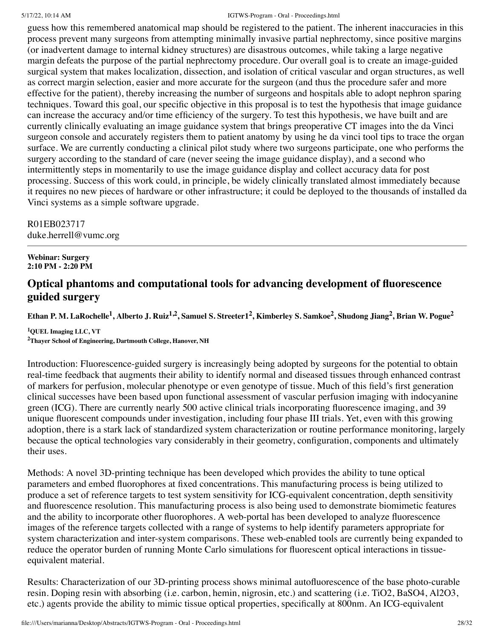guess how this remembered anatomical map should be registered to the patient. The inherent inaccuracies in this process prevent many surgeons from attempting minimally invasive partial nephrectomy, since positive margins (or inadvertent damage to internal kidney structures) are disastrous outcomes, while taking a large negative margin defeats the purpose of the partial nephrectomy procedure. Our overall goal is to create an image-guided surgical system that makes localization, dissection, and isolation of critical vascular and organ structures, as well as correct margin selection, easier and more accurate for the surgeon (and thus the procedure safer and more effective for the patient), thereby increasing the number of surgeons and hospitals able to adopt nephron sparing techniques. Toward this goal, our specific objective in this proposal is to test the hypothesis that image guidance can increase the accuracy and/or time efficiency of the surgery. To test this hypothesis, we have built and are currently clinically evaluating an image guidance system that brings preoperative CT images into the da Vinci surgeon console and accurately registers them to patient anatomy by using he da vinci tool tips to trace the organ surface. We are currently conducting a clinical pilot study where two surgeons participate, one who performs the surgery according to the standard of care (never seeing the image guidance display), and a second who intermittently steps in momentarily to use the image guidance display and collect accuracy data for post processing. Success of this work could, in principle, be widely clinically translated almost immediately because it requires no new pieces of hardware or other infrastructure; it could be deployed to the thousands of installed da Vinci systems as a simple software upgrade.

R01EB023717 duke.herrell@vumc.org

**Webinar: Surgery 2:10 PM - 2:20 PM**

# **Optical phantoms and computational tools for advancing development of fluorescence guided surgery**

Ethan P. M. LaRochelle<sup>1</sup>, Alberto J. Ruiz<sup>1,2</sup>, Samuel S. Streeter1<sup>2</sup>, Kimberley S. Samkoe<sup>2</sup>, Shudong Jiang<sup>2</sup>, Brian W. Pogue<sup>2</sup>

**<sup>1</sup>QUEL Imaging LLC, VT <sup>2</sup>Thayer School of Engineering, Dartmouth College, Hanover, NH**

Introduction: Fluorescence-guided surgery is increasingly being adopted by surgeons for the potential to obtain real-time feedback that augments their ability to identify normal and diseased tissues through enhanced contrast of markers for perfusion, molecular phenotype or even genotype of tissue. Much of this field's first generation clinical successes have been based upon functional assessment of vascular perfusion imaging with indocyanine green (ICG). There are currently nearly 500 active clinical trials incorporating fluorescence imaging, and 39 unique fluorescent compounds under investigation, including four phase III trials. Yet, even with this growing adoption, there is a stark lack of standardized system characterization or routine performance monitoring, largely because the optical technologies vary considerably in their geometry, configuration, components and ultimately their uses.

Methods: A novel 3D-printing technique has been developed which provides the ability to tune optical parameters and embed fluorophores at fixed concentrations. This manufacturing process is being utilized to produce a set of reference targets to test system sensitivity for ICG-equivalent concentration, depth sensitivity and fluorescence resolution. This manufacturing process is also being used to demonstrate biomimetic features and the ability to incorporate other fluorophores. A web-portal has been developed to analyze fluorescence images of the reference targets collected with a range of systems to help identify parameters appropriate for system characterization and inter-system comparisons. These web-enabled tools are currently being expanded to reduce the operator burden of running Monte Carlo simulations for fluorescent optical interactions in tissueequivalent material.

Results: Characterization of our 3D-printing process shows minimal autofluorescence of the base photo-curable resin. Doping resin with absorbing (i.e. carbon, hemin, nigrosin, etc.) and scattering (i.e. TiO2, BaSO4, Al2O3, etc.) agents provide the ability to mimic tissue optical properties, specifically at 800nm. An ICG-equivalent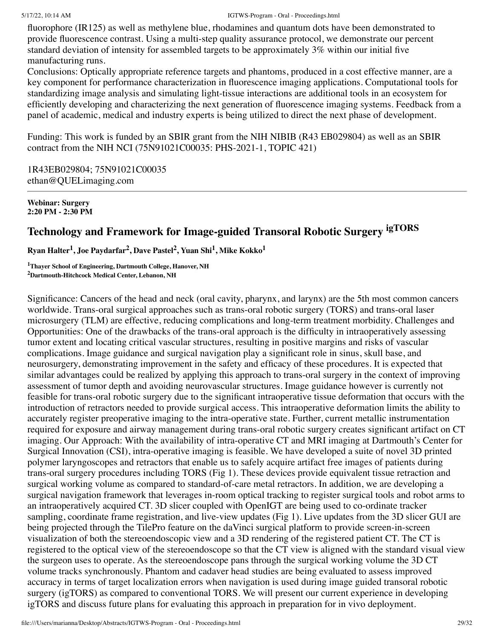fluorophore (IR125) as well as methylene blue, rhodamines and quantum dots have been demonstrated to provide fluorescence contrast. Using a multi-step quality assurance protocol, we demonstrate our percent standard deviation of intensity for assembled targets to be approximately 3% within our initial five manufacturing runs.

Conclusions: Optically appropriate reference targets and phantoms, produced in a cost effective manner, are a key component for performance characterization in fluorescence imaging applications. Computational tools for standardizing image analysis and simulating light-tissue interactions are additional tools in an ecosystem for efficiently developing and characterizing the next generation of fluorescence imaging systems. Feedback from a panel of academic, medical and industry experts is being utilized to direct the next phase of development.

Funding: This work is funded by an SBIR grant from the NIH NIBIB (R43 EB029804) as well as an SBIR contract from the NIH NCI (75N91021C00035: PHS-2021-1, TOPIC 421)

1R43EB029804; 75N91021C00035 ethan@QUELimaging.com

**Webinar: Surgery 2:20 PM - 2:30 PM**

# **Technology and Framework for Image-guided Transoral Robotic Surgery igTORS**

**Ryan Halter 1 , Joe Paydarfar 2 , Dave Pastel 2 , Yuan Shi 1 , Mike Kokko 1**

**<sup>1</sup>Thayer School of Engineering, Dartmouth College, Hanover, NH <sup>2</sup>Dartmouth-Hitchcock Medical Center, Lebanon, NH**

Significance: Cancers of the head and neck (oral cavity, pharynx, and larynx) are the 5th most common cancers worldwide. Trans-oral surgical approaches such as trans-oral robotic surgery (TORS) and trans-oral laser microsurgery (TLM) are effective, reducing complications and long-term treatment morbidity. Challenges and Opportunities: One of the drawbacks of the trans-oral approach is the difficulty in intraoperatively assessing tumor extent and locating critical vascular structures, resulting in positive margins and risks of vascular complications. Image guidance and surgical navigation play a significant role in sinus, skull base, and neurosurgery, demonstrating improvement in the safety and efficacy of these procedures. It is expected that similar advantages could be realized by applying this approach to trans-oral surgery in the context of improving assessment of tumor depth and avoiding neurovascular structures. Image guidance however is currently not feasible for trans-oral robotic surgery due to the significant intraoperative tissue deformation that occurs with the introduction of retractors needed to provide surgical access. This intraoperative deformation limits the ability to accurately register preoperative imaging to the intra-operative state. Further, current metallic instrumentation required for exposure and airway management during trans-oral robotic surgery creates significant artifact on CT imaging. Our Approach: With the availability of intra-operative CT and MRI imaging at Dartmouth's Center for Surgical Innovation (CSI), intra-operative imaging is feasible. We have developed a suite of novel 3D printed polymer laryngoscopes and retractors that enable us to safely acquire artifact free images of patients during trans-oral surgery procedures including TORS (Fig 1). These devices provide equivalent tissue retraction and surgical working volume as compared to standard-of-care metal retractors. In addition, we are developing a surgical navigation framework that leverages in-room optical tracking to register surgical tools and robot arms to an intraoperatively acquired CT. 3D slicer coupled with OpenIGT are being used to co-ordinate tracker sampling, coordinate frame registration, and live-view updates (Fig 1). Live updates from the 3D slicer GUI are being projected through the TilePro feature on the daVinci surgical platform to provide screen-in-screen visualization of both the stereoendoscopic view and a 3D rendering of the registered patient CT. The CT is registered to the optical view of the stereoendoscope so that the CT view is aligned with the standard visual view the surgeon uses to operate. As the stereoendoscope pans through the surgical working volume the 3D CT volume tracks synchronously. Phantom and cadaver head studies are being evaluated to assess improved accuracy in terms of target localization errors when navigation is used during image guided transoral robotic surgery (igTORS) as compared to conventional TORS. We will present our current experience in developing igTORS and discuss future plans for evaluating this approach in preparation for in vivo deployment.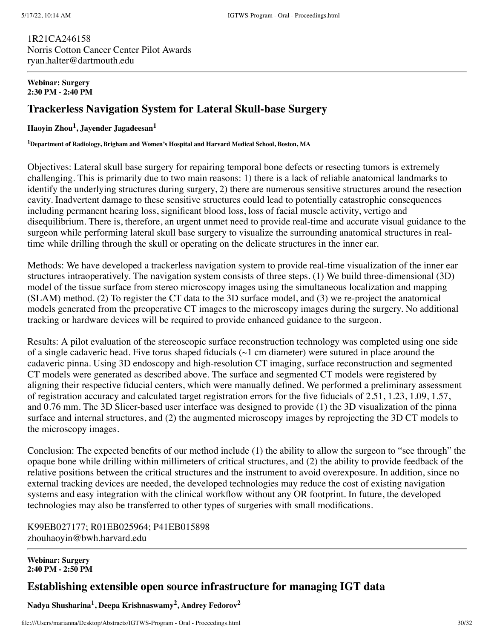1R21CA246158 Norris Cotton Cancer Center Pilot Awards ryan.halter@dartmouth.edu

#### **Webinar: Surgery 2:30 PM - 2:40 PM**

# **Trackerless Navigation System for Lateral Skull-base Surgery**

### **Haoyin Zhou 1 , Jayender Jagadeesan 1**

**<sup>1</sup>Department of Radiology, Brigham and Women's Hospital and Harvard Medical School, Boston, MA**

Objectives: Lateral skull base surgery for repairing temporal bone defects or resecting tumors is extremely challenging. This is primarily due to two main reasons: 1) there is a lack of reliable anatomical landmarks to identify the underlying structures during surgery, 2) there are numerous sensitive structures around the resection cavity. Inadvertent damage to these sensitive structures could lead to potentially catastrophic consequences including permanent hearing loss, significant blood loss, loss of facial muscle activity, vertigo and disequilibrium. There is, therefore, an urgent unmet need to provide real-time and accurate visual guidance to the surgeon while performing lateral skull base surgery to visualize the surrounding anatomical structures in realtime while drilling through the skull or operating on the delicate structures in the inner ear.

Methods: We have developed a trackerless navigation system to provide real-time visualization of the inner ear structures intraoperatively. The navigation system consists of three steps. (1) We build three-dimensional (3D) model of the tissue surface from stereo microscopy images using the simultaneous localization and mapping (SLAM) method. (2) To register the CT data to the 3D surface model, and (3) we re-project the anatomical models generated from the preoperative CT images to the microscopy images during the surgery. No additional tracking or hardware devices will be required to provide enhanced guidance to the surgeon.

Results: A pilot evaluation of the stereoscopic surface reconstruction technology was completed using one side of a single cadaveric head. Five torus shaped fiducials ( $\sim$ 1 cm diameter) were sutured in place around the cadaveric pinna. Using 3D endoscopy and high-resolution CT imaging, surface reconstruction and segmented CT models were generated as described above. The surface and segmented CT models were registered by aligning their respective fiducial centers, which were manually defined. We performed a preliminary assessment of registration accuracy and calculated target registration errors for the five fiducials of 2.51, 1.23, 1.09, 1.57, and 0.76 mm. The 3D Slicer-based user interface was designed to provide (1) the 3D visualization of the pinna surface and internal structures, and (2) the augmented microscopy images by reprojecting the 3D CT models to the microscopy images.

Conclusion: The expected benefits of our method include (1) the ability to allow the surgeon to "see through" the opaque bone while drilling within millimeters of critical structures, and (2) the ability to provide feedback of the relative positions between the critical structures and the instrument to avoid overexposure. In addition, since no external tracking devices are needed, the developed technologies may reduce the cost of existing navigation systems and easy integration with the clinical workflow without any OR footprint. In future, the developed technologies may also be transferred to other types of surgeries with small modifications.

K99EB027177; R01EB025964; P41EB015898 zhouhaoyin@bwh.harvard.edu

#### **Webinar: Surgery 2:40 PM - 2:50 PM**

## **Establishing extensible open source infrastructure for managing IGT data**

**Nadya Shusharina 1 , Deepa Krishnaswamy 2 , Andrey Fedorov 2**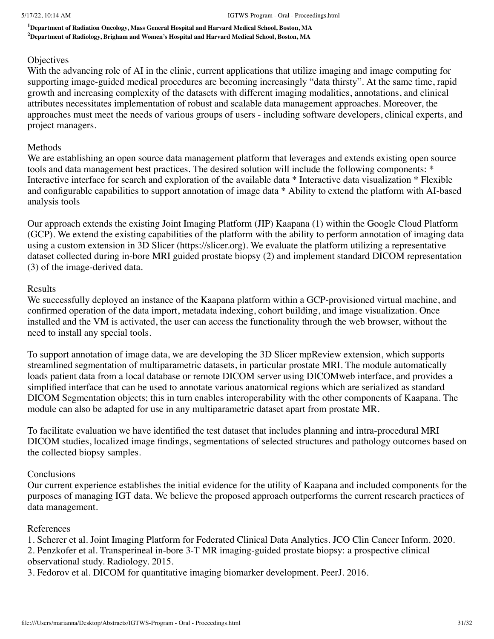**<sup>1</sup>Department of Radiation Oncology, Mass General Hospital and Harvard Medical School, Boston, MA <sup>2</sup>Department of Radiology, Brigham and Women's Hospital and Harvard Medical School, Boston, MA**

### **Objectives**

With the advancing role of AI in the clinic, current applications that utilize imaging and image computing for supporting image-guided medical procedures are becoming increasingly "data thirsty". At the same time, rapid growth and increasing complexity of the datasets with different imaging modalities, annotations, and clinical attributes necessitates implementation of robust and scalable data management approaches. Moreover, the approaches must meet the needs of various groups of users - including software developers, clinical experts, and project managers.

#### Methods

We are establishing an open source data management platform that leverages and extends existing open source tools and data management best practices. The desired solution will include the following components: \* Interactive interface for search and exploration of the available data \* Interactive data visualization \* Flexible and configurable capabilities to support annotation of image data \* Ability to extend the platform with AI-based analysis tools

Our approach extends the existing Joint Imaging Platform (JIP) Kaapana (1) within the Google Cloud Platform (GCP). We extend the existing capabilities of the platform with the ability to perform annotation of imaging data using a custom extension in 3D Slicer (https://slicer.org). We evaluate the platform utilizing a representative dataset collected during in-bore MRI guided prostate biopsy (2) and implement standard DICOM representation (3) of the image-derived data.

### Results

We successfully deployed an instance of the Kaapana platform within a GCP-provisioned virtual machine, and confirmed operation of the data import, metadata indexing, cohort building, and image visualization. Once installed and the VM is activated, the user can access the functionality through the web browser, without the need to install any special tools.

To support annotation of image data, we are developing the 3D Slicer mpReview extension, which supports streamlined segmentation of multiparametric datasets, in particular prostate MRI. The module automatically loads patient data from a local database or remote DICOM server using DICOMweb interface, and provides a simplified interface that can be used to annotate various anatomical regions which are serialized as standard DICOM Segmentation objects; this in turn enables interoperability with the other components of Kaapana. The module can also be adapted for use in any multiparametric dataset apart from prostate MR.

To facilitate evaluation we have identified the test dataset that includes planning and intra-procedural MRI DICOM studies, localized image findings, segmentations of selected structures and pathology outcomes based on the collected biopsy samples.

## Conclusions

Our current experience establishes the initial evidence for the utility of Kaapana and included components for the purposes of managing IGT data. We believe the proposed approach outperforms the current research practices of data management.

## References

1. Scherer et al. Joint Imaging Platform for Federated Clinical Data Analytics. JCO Clin Cancer Inform. 2020. 2. Penzkofer et al. Transperineal in-bore 3-T MR imaging-guided prostate biopsy: a prospective clinical observational study. Radiology. 2015.

3. Fedorov et al. DICOM for quantitative imaging biomarker development. PeerJ. 2016.